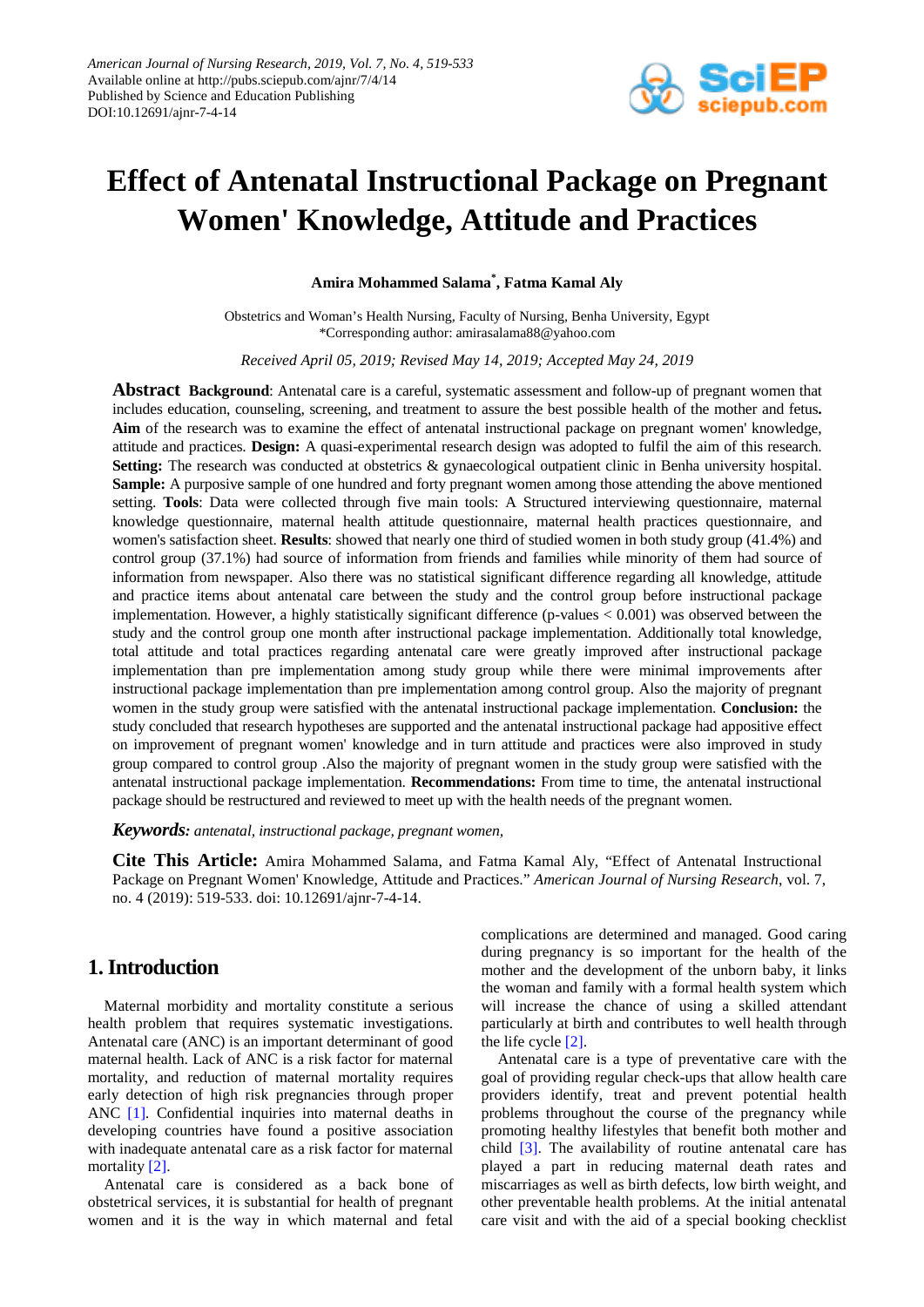

# **Effect of Antenatal Instructional Package on Pregnant Women' Knowledge, Attitude and Practices**

**Amira Mohammed Salama\* , Fatma Kamal Aly**

Obstetrics and Woman's Health Nursing, Faculty of Nursing, Benha University, Egypt \*Corresponding author: amirasalama88@yahoo.com

*Received April 05, 2019; Revised May 14, 2019; Accepted May 24, 2019*

**Abstract Background**: Antenatal care is a careful, systematic assessment and follow-up of pregnant women that includes education, counseling, screening, and treatment to assure the best possible health of the mother and fetus**. Aim** of the research was to examine the effect of antenatal instructional package on pregnant women' knowledge, attitude and practices. **Design:** A quasi-experimental research design was adopted to fulfil the aim of this research. **Setting:** The research was conducted at obstetrics & gynaecological outpatient clinic in Benha university hospital. **Sample:** A purposive sample of one hundred and forty pregnant women among those attending the above mentioned setting. **Tools**: Data were collected through five main tools: A Structured interviewing questionnaire, maternal knowledge questionnaire, maternal health attitude questionnaire, maternal health practices questionnaire, and women's satisfaction sheet. **Results**: showed that nearly one third of studied women in both study group (41.4%) and control group (37.1%) had source of information from friends and families while minority of them had source of information from newspaper. Also there was no statistical significant difference regarding all knowledge, attitude and practice items about antenatal care between the study and the control group before instructional package implementation. However, a highly statistically significant difference (p-values  $< 0.001$ ) was observed between the study and the control group one month after instructional package implementation. Additionally total knowledge, total attitude and total practices regarding antenatal care were greatly improved after instructional package implementation than pre implementation among study group while there were minimal improvements after instructional package implementation than pre implementation among control group. Also the majority of pregnant women in the study group were satisfied with the antenatal instructional package implementation. **Conclusion:** the study concluded that research hypotheses are supported and the antenatal instructional package had appositive effect on improvement of pregnant women' knowledge and in turn attitude and practices were also improved in study group compared to control group .Also the majority of pregnant women in the study group were satisfied with the antenatal instructional package implementation. **Recommendations:** From time to time, the antenatal instructional package should be restructured and reviewed to meet up with the health needs of the pregnant women.

*Keywords: antenatal, instructional package, pregnant women,* 

**Cite This Article:** Amira Mohammed Salama, and Fatma Kamal Aly, "Effect of Antenatal Instructional Package on Pregnant Women' Knowledge, Attitude and Practices." *American Journal of Nursing Research*, vol. 7, no. 4 (2019): 519-533. doi: 10.12691/ajnr-7-4-14.

# **1. Introduction**

Maternal morbidity and mortality constitute a serious health problem that requires systematic investigations. Antenatal care (ANC) is an important determinant of good maternal health. Lack of ANC is a risk factor for maternal mortality, and reduction of maternal mortality requires early detection of high risk pregnancies through proper ANC [\[1\]](#page-13-0)*.* Confidential inquiries into maternal deaths in developing countries have found a positive association with inadequate antenatal care as a risk factor for maternal mortality [\[2\].](#page-13-1)

Antenatal care is considered as a back bone of obstetrical services, it is substantial for health of pregnant women and it is the way in which maternal and fetal complications are determined and managed. Good caring during pregnancy is so important for the health of the mother and the development of the unborn baby, it links the woman and family with a formal health system which will increase the chance of using a skilled attendant particularly at birth and contributes to well health through the life cycle [\[2\].](#page-13-1)

Antenatal care is a type of preventative care with the goal of providing regular check-ups that allow health care providers identify, treat and prevent potential health problems throughout the course of the pregnancy while promoting healthy lifestyles that benefit both mother and child [\[3\].](#page-13-2) The availability of routine antenatal care has played a part in reducing maternal death rates and miscarriages as well as birth defects, low birth weight, and other preventable health problems. At the initial antenatal care visit and with the aid of a special booking checklist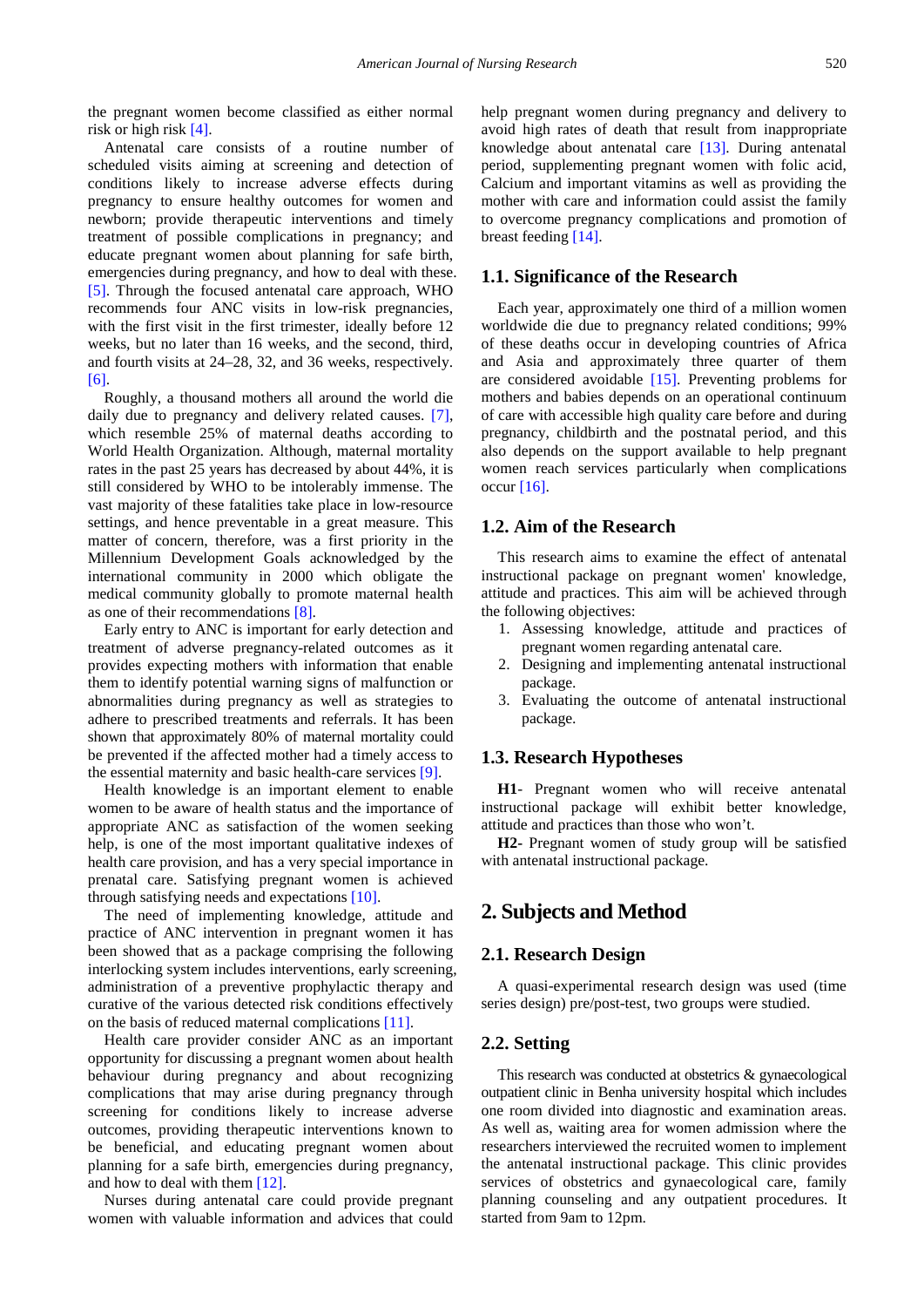the pregnant women become classified as either normal risk or high risk [\[4\].](#page-13-3)

Antenatal care consists of a routine number of scheduled visits aiming at screening and detection of conditions likely to increase adverse effects during pregnancy to ensure healthy outcomes for women and newborn; provide therapeutic interventions and timely treatment of possible complications in pregnancy; and educate pregnant women about planning for safe birth, emergencies during pregnancy, and how to deal with these. [\[5\].](#page-13-4) Through the focused antenatal care approach, WHO recommends four ANC visits in low-risk pregnancies, with the first visit in the first trimester, ideally before 12 weeks, but no later than 16 weeks, and the second, third, and fourth visits at 24–28, 32, and 36 weeks, respectively. [\[6\].](#page-13-5)

Roughly, a thousand mothers all around the world die daily due to pregnancy and delivery related causes. [\[7\],](#page-13-6) which resemble 25% of maternal deaths according to World Health Organization. Although, maternal mortality rates in the past 25 years has decreased by about 44%, it is still considered by WHO to be intolerably immense. The vast majority of these fatalities take place in low-resource settings, and hence preventable in a great measure. This matter of concern, therefore, was a first priority in the Millennium Development Goals acknowledged by the international community in 2000 which obligate the medical community globally to promote maternal health as one of their recommendation[s \[8\].](#page-13-7)

Early entry to ANC is important for early detection and treatment of adverse pregnancy-related outcomes as it provides expecting mothers with information that enable them to identify potential warning signs of malfunction or abnormalities during pregnancy as well as strategies to adhere to prescribed treatments and referrals. It has been shown that approximately 80% of maternal mortality could be prevented if the affected mother had a timely access to the essential maternity and basic health-care services [\[9\].](#page-14-0)

Health knowledge is an important element to enable women to be aware of health status and the importance of appropriate ANC as satisfaction of the women seeking help, is one of the most important qualitative indexes of health care provision, and has a very special importance in prenatal care. Satisfying pregnant women is achieved through satisfying needs and expectations [\[10\].](#page-14-1)

The need of implementing knowledge, attitude and practice of ANC intervention in pregnant women it has been showed that as a package comprising the following interlocking system includes interventions, early screening, administration of a preventive prophylactic therapy and curative of the various detected risk conditions effectively on the basis of reduced maternal complications [\[11\].](#page-14-2)

Health care provider consider ANC as an important opportunity for discussing a pregnant women about health behaviour during pregnancy and about recognizing complications that may arise during pregnancy through screening for conditions likely to increase adverse outcomes, providing therapeutic interventions known to be beneficial, and educating pregnant women about planning for a safe birth, emergencies during pregnancy, and how to deal with the[m \[12\].](#page-14-3)

Nurses during antenatal care could provide pregnant women with valuable information and advices that could help pregnant women during pregnancy and delivery to avoid high rates of death that result from inappropriate knowledge about antenatal care [\[13\].](#page-14-4) During antenatal period, supplementing pregnant women with folic acid, Calcium and important vitamins as well as providing the mother with care and information could assist the family to overcome pregnancy complications and promotion of breast feeding [\[14\].](#page-14-5)

#### **1.1. Significance of the Research**

Each year, approximately one third of a million women worldwide die due to pregnancy related conditions; 99% of these deaths occur in developing countries of Africa and Asia and approximately three quarter of them are considered avoidable [\[15\].](#page-14-6) Preventing problems for mothers and babies depends on an operational continuum of care with accessible high quality care before and during pregnancy, childbirth and the postnatal period, and this also depends on the support available to help pregnant women reach services particularly when complications occur [\[16\].](#page-14-7)

#### **1.2. Aim of the Research**

This research aims to examine the effect of antenatal instructional package on pregnant women' knowledge, attitude and practices. This aim will be achieved through the following objectives:

- 1. Assessing knowledge, attitude and practices of pregnant women regarding antenatal care.
- 2. Designing and implementing antenatal instructional package.
- 3. Evaluating the outcome of antenatal instructional package.

## **1.3. Research Hypotheses**

**H1**- Pregnant women who will receive antenatal instructional package will exhibit better knowledge, attitude and practices than those who won't.

**H2-** Pregnant women of study group will be satisfied with antenatal instructional package.

# **2. Subjects and Method**

#### **2.1. Research Design**

A quasi-experimental research design was used (time series design) pre/post-test, two groups were studied.

## **2.2. Setting**

This research was conducted at obstetrics & gynaecological outpatient clinic in Benha university hospital which includes one room divided into diagnostic and examination areas. As well as, waiting area for women admission where the researchers interviewed the recruited women to implement the antenatal instructional package. This clinic provides services of obstetrics and gynaecological care, family planning counseling and any outpatient procedures. It started from 9am to 12pm.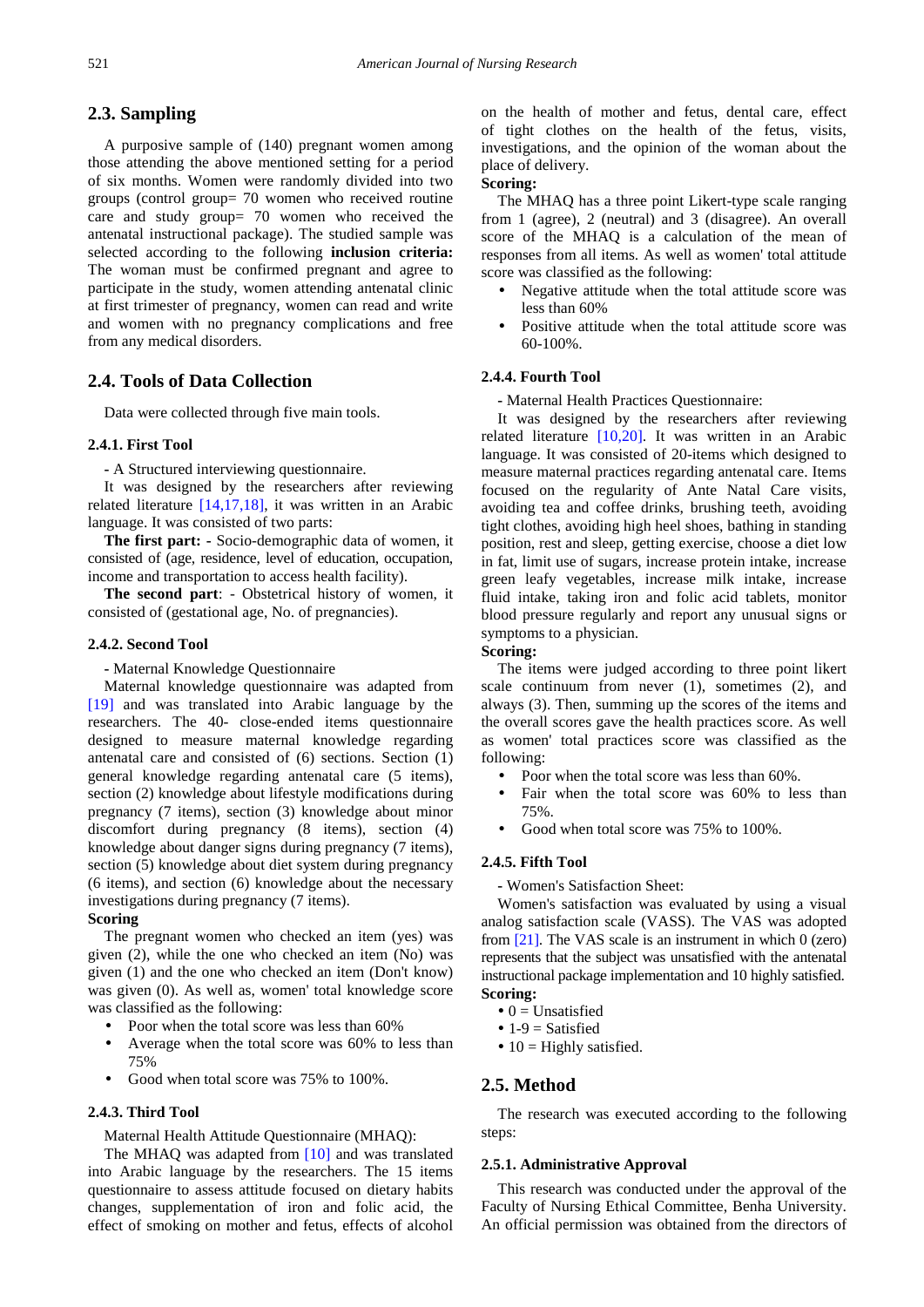## **2.3. Sampling**

A purposive sample of (140) pregnant women among those attending the above mentioned setting for a period of six months. Women were randomly divided into two groups (control group= 70 women who received routine care and study group= 70 women who received the antenatal instructional package). The studied sample was selected according to the following **inclusion criteria:** The woman must be confirmed pregnant and agree to participate in the study, women attending antenatal clinic at first trimester of pregnancy, women can read and write and women with no pregnancy complications and free from any medical disorders.

# **2.4. Tools of Data Collection**

Data were collected through five main tools.

#### **2.4.1. First Tool**

**-** A Structured interviewing questionnaire.

It was designed by the researchers after reviewing related literature [\[14,17,18\],](#page-14-5) it was written in an Arabic language. It was consisted of two parts:

**The first part: -** Socio-demographic data of women, it consisted of (age, residence, level of education, occupation, income and transportation to access health facility).

**The second part**: - Obstetrical history of women, it consisted of (gestational age, No. of pregnancies).

#### **2.4.2. Second Tool**

**-** Maternal Knowledge Questionnaire

Maternal knowledge questionnaire was adapted from [\[19\]](#page-14-8) and was translated into Arabic language by the researchers. The 40- close-ended items questionnaire designed to measure maternal knowledge regarding antenatal care and consisted of (6) sections. Section (1) general knowledge regarding antenatal care (5 items), section (2) knowledge about lifestyle modifications during pregnancy (7 items), section (3) knowledge about minor discomfort during pregnancy (8 items), section (4) knowledge about danger signs during pregnancy (7 items), section (5) knowledge about diet system during pregnancy (6 items), and section (6) knowledge about the necessary investigations during pregnancy (7 items).

#### **Scoring**

The pregnant women who checked an item (yes) was given (2), while the one who checked an item (No) was given (1) and the one who checked an item (Don't know) was given (0). As well as, women' total knowledge score was classified as the following:

- Poor when the total score was less than 60%
- Average when the total score was 60% to less than 75%
- Good when total score was 75% to 100%.

## **2.4.3. Third Tool**

Maternal Health Attitude Questionnaire (MHAQ):

The MHAQ was adapted from [\[10\]](#page-14-1) and was translated into Arabic language by the researchers. The 15 items questionnaire to assess attitude focused on dietary habits changes, supplementation of iron and folic acid, the effect of smoking on mother and fetus, effects of alcohol on the health of mother and fetus, dental care, effect of tight clothes on the health of the fetus, visits, investigations, and the opinion of the woman about the place of delivery.

## **Scoring:**

The MHAQ has a three point Likert-type scale ranging from 1 (agree), 2 (neutral) and 3 (disagree). An overall score of the MHAQ is a calculation of the mean of responses from all items. As well as women' total attitude score was classified as the following:

- Negative attitude when the total attitude score was less than 60%
- Positive attitude when the total attitude score was 60-100%.

#### **2.4.4. Fourth Tool**

**-** Maternal Health Practices Questionnaire:

It was designed by the researchers after reviewing related literature [\[10,20\].](#page-14-1) It was written in an Arabic language. It was consisted of 20-items which designed to measure maternal practices regarding antenatal care. Items focused on the regularity of Ante Natal Care visits, avoiding tea and coffee drinks, brushing teeth, avoiding tight clothes, avoiding high heel shoes, bathing in standing position, rest and sleep, getting exercise, choose a diet low in fat, limit use of sugars, increase protein intake, increase green leafy vegetables, increase milk intake, increase fluid intake, taking iron and folic acid tablets, monitor blood pressure regularly and report any unusual signs or symptoms to a physician.

#### **Scoring:**

The items were judged according to three point likert scale continuum from never (1), sometimes (2), and always (3). Then, summing up the scores of the items and the overall scores gave the health practices score. As well as women' total practices score was classified as the following:

- Poor when the total score was less than 60%.
- Fair when the total score was 60% to less than 75%.
- Good when total score was 75% to 100%.

#### **2.4.5. Fifth Tool**

**-** Women's Satisfaction Sheet:

Women's satisfaction was evaluated by using a visual analog satisfaction scale (VASS). The VAS was adopted from [\[21\].](#page-14-9) The VAS scale is an instrument in which 0 (zero) represents that the subject was unsatisfied with the antenatal instructional package implementation and 10 highly satisfied. **Scoring:**

- $\bullet$  0 = Unsatisfied
- $\bullet$  1-9 = Satisfied
- $\bullet$  10 = Highly satisfied.

## **2.5. Method**

The research was executed according to the following steps:

#### **2.5.1. Administrative Approval**

This research was conducted under the approval of the Faculty of Nursing Ethical Committee, Benha University. An official permission was obtained from the directors of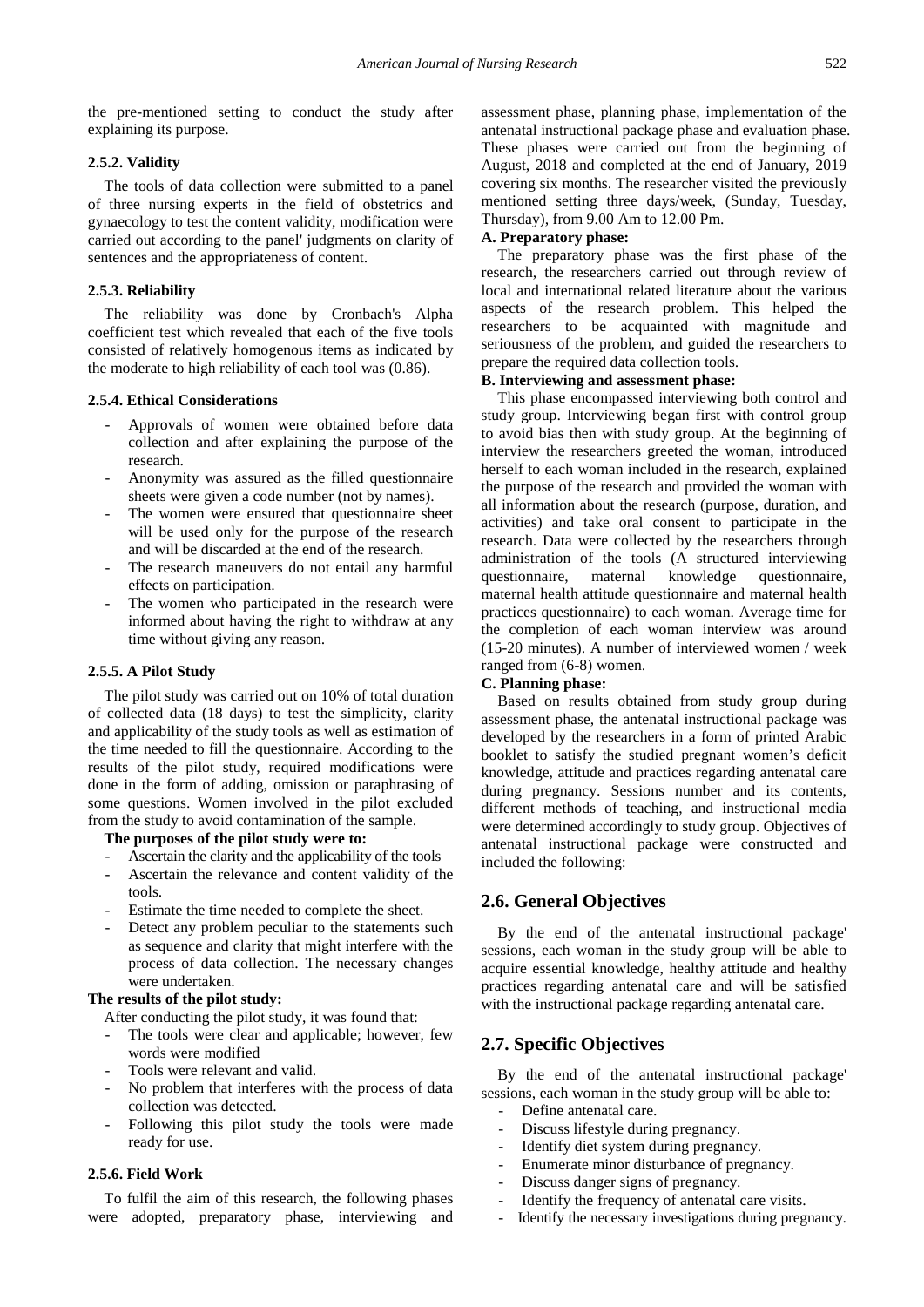the pre-mentioned setting to conduct the study after explaining its purpose.

## **2.5.2. Validity**

The tools of data collection were submitted to a panel of three nursing experts in the field of obstetrics and gynaecology to test the content validity, modification were carried out according to the panel' judgments on clarity of sentences and the appropriateness of content.

#### **2.5.3. Reliability**

The reliability was done by Cronbach's Alpha coefficient test which revealed that each of the five tools consisted of relatively homogenous items as indicated by the moderate to high reliability of each tool was (0.86).

#### **2.5.4. Ethical Considerations**

- Approvals of women were obtained before data collection and after explaining the purpose of the research.
- Anonymity was assured as the filled questionnaire sheets were given a code number (not by names).
- The women were ensured that questionnaire sheet will be used only for the purpose of the research and will be discarded at the end of the research.
- The research maneuvers do not entail any harmful effects on participation.
- The women who participated in the research were informed about having the right to withdraw at any time without giving any reason.

#### **2.5.5. A Pilot Study**

The pilot study was carried out on 10% of total duration of collected data (18 days) to test the simplicity, clarity and applicability of the study tools as well as estimation of the time needed to fill the questionnaire. According to the results of the pilot study, required modifications were done in the form of adding, omission or paraphrasing of some questions. Women involved in the pilot excluded from the study to avoid contamination of the sample.

#### **The purposes of the pilot study were to:**

- Ascertain the clarity and the applicability of the tools
- Ascertain the relevance and content validity of the tools.
- Estimate the time needed to complete the sheet.
- Detect any problem peculiar to the statements such as sequence and clarity that might interfere with the process of data collection. The necessary changes were undertaken.

#### **The results of the pilot study:**

After conducting the pilot study, it was found that:

- The tools were clear and applicable; however, few words were modified
- Tools were relevant and valid.
- No problem that interferes with the process of data collection was detected.
- Following this pilot study the tools were made ready for use.

#### **2.5.6. Field Work**

To fulfil the aim of this research, the following phases were adopted, preparatory phase, interviewing and assessment phase, planning phase, implementation of the antenatal instructional package phase and evaluation phase. These phases were carried out from the beginning of August, 2018 and completed at the end of January, 2019 covering six months. The researcher visited the previously mentioned setting three days/week, (Sunday, Tuesday, Thursday), from 9.00 Am to 12.00 Pm.

#### **A. Preparatory phase:**

The preparatory phase was the first phase of the research, the researchers carried out through review of local and international related literature about the various aspects of the research problem. This helped the researchers to be acquainted with magnitude and seriousness of the problem, and guided the researchers to prepare the required data collection tools.

#### **B. Interviewing and assessment phase:**

This phase encompassed interviewing both control and study group. Interviewing began first with control group to avoid bias then with study group. At the beginning of interview the researchers greeted the woman, introduced herself to each woman included in the research, explained the purpose of the research and provided the woman with all information about the research (purpose, duration, and activities) and take oral consent to participate in the research. Data were collected by the researchers through administration of the tools (A structured interviewing questionnaire, maternal knowledge questionnaire, maternal health attitude questionnaire and maternal health practices questionnaire) to each woman. Average time for the completion of each woman interview was around (15-20 minutes). A number of interviewed women / week ranged from (6-8) women.

#### **C. Planning phase:**

Based on results obtained from study group during assessment phase, the antenatal instructional package was developed by the researchers in a form of printed Arabic booklet to satisfy the studied pregnant women's deficit knowledge, attitude and practices regarding antenatal care during pregnancy. Sessions number and its contents, different methods of teaching, and instructional media were determined accordingly to study group. Objectives of antenatal instructional package were constructed and included the following:

## **2.6. General Objectives**

By the end of the antenatal instructional package' sessions, each woman in the study group will be able to acquire essential knowledge, healthy attitude and healthy practices regarding antenatal care and will be satisfied with the instructional package regarding antenatal care.

## **2.7. Specific Objectives**

By the end of the antenatal instructional package' sessions, each woman in the study group will be able to:

- Define antenatal care.
- Discuss lifestyle during pregnancy.
- Identify diet system during pregnancy.
- Enumerate minor disturbance of pregnancy.
- Discuss danger signs of pregnancy.
- Identify the frequency of antenatal care visits.
- Identify the necessary investigations during pregnancy.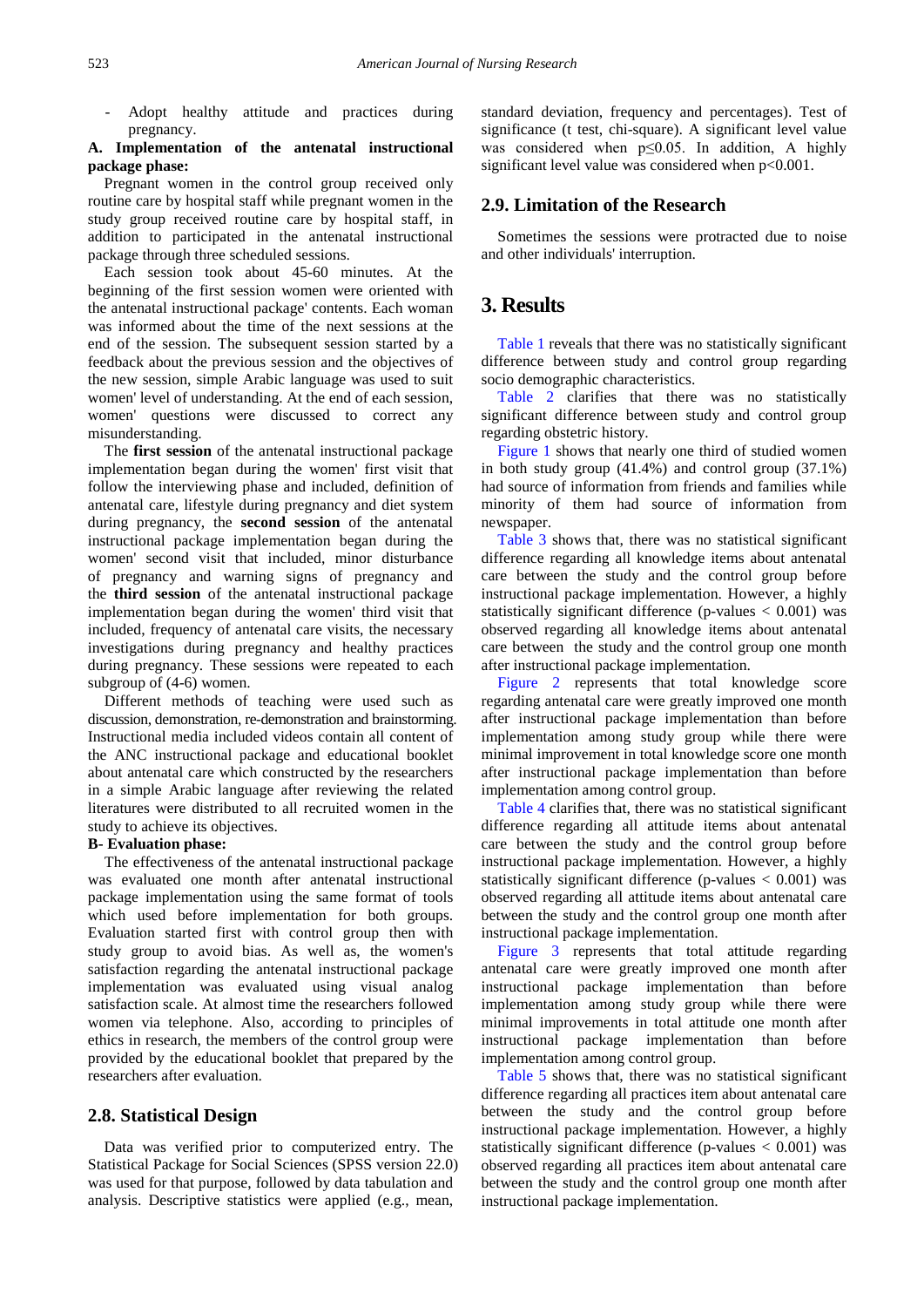- Adopt healthy attitude and practices during pregnancy.

## **A. Implementation of the antenatal instructional package phase:**

Pregnant women in the control group received only routine care by hospital staff while pregnant women in the study group received routine care by hospital staff, in addition to participated in the antenatal instructional package through three scheduled sessions.

Each session took about 45-60 minutes. At the beginning of the first session women were oriented with the antenatal instructional package' contents. Each woman was informed about the time of the next sessions at the end of the session. The subsequent session started by a feedback about the previous session and the objectives of the new session, simple Arabic language was used to suit women' level of understanding. At the end of each session, women' questions were discussed to correct any misunderstanding.

The **first session** of the antenatal instructional package implementation began during the women' first visit that follow the interviewing phase and included, definition of antenatal care, lifestyle during pregnancy and diet system during pregnancy, the **second session** of the antenatal instructional package implementation began during the women' second visit that included, minor disturbance of pregnancy and warning signs of pregnancy and the **third session** of the antenatal instructional package implementation began during the women' third visit that included, frequency of antenatal care visits, the necessary investigations during pregnancy and healthy practices during pregnancy. These sessions were repeated to each subgroup of (4-6) women.

Different methods of teaching were used such as discussion, demonstration, re-demonstration and brainstorming. Instructional media included videos contain all content of the ANC instructional package and educational booklet about antenatal care which constructed by the researchers in a simple Arabic language after reviewing the related literatures were distributed to all recruited women in the study to achieve its objectives.

#### **B- Evaluation phase:**

The effectiveness of the antenatal instructional package was evaluated one month after antenatal instructional package implementation using the same format of tools which used before implementation for both groups. Evaluation started first with control group then with study group to avoid bias. As well as, the women's satisfaction regarding the antenatal instructional package implementation was evaluated using visual analog satisfaction scale. At almost time the researchers followed women via telephone. Also, according to principles of ethics in research, the members of the control group were provided by the educational booklet that prepared by the researchers after evaluation.

## **2.8. Statistical Design**

Data was verified prior to computerized entry. The Statistical Package for Social Sciences (SPSS version 22.0) was used for that purpose, followed by data tabulation and analysis. Descriptive statistics were applied (e.g., mean,

standard deviation, frequency and percentages). Test of significance (t test, chi-square). A significant level value was considered when p≤0.05. In addition, A highly significant level value was considered when  $p<0.001$ .

## **2.9. Limitation of the Research**

Sometimes the sessions were protracted due to noise and other individuals' interruption.

# **3. Results**

[Table 1](#page-5-0) reveals that there was no statistically significant difference between study and control group regarding socio demographic characteristics.

[Table 2](#page-5-1) clarifies that there was no statistically significant difference between study and control group regarding obstetric history.

[Figure 1](#page-5-2) shows that nearly one third of studied women in both study group  $(41.4\%)$  and control group  $(37.1\%)$ had source of information from friends and families while minority of them had source of information from newspaper.

[Table 3](#page-6-0) shows that, there was no statistical significant difference regarding all knowledge items about antenatal care between the study and the control group before instructional package implementation. However, a highly statistically significant difference (p-values < 0.001) was observed regarding all knowledge items about antenatal care between the study and the control group one month after instructional package implementation.

[Figure 2](#page-6-1) represents that total knowledge score regarding antenatal care were greatly improved one month after instructional package implementation than before implementation among study group while there were minimal improvement in total knowledge score one month after instructional package implementation than before implementation among control group.

[Table 4](#page-7-0) clarifies that, there was no statistical significant difference regarding all attitude items about antenatal care between the study and the control group before instructional package implementation. However, a highly statistically significant difference (p-values  $< 0.001$ ) was observed regarding all attitude items about antenatal care between the study and the control group one month after instructional package implementation.

[Figure 3](#page-8-0) represents that total attitude regarding antenatal care were greatly improved one month after instructional package implementation than before implementation among study group while there were minimal improvements in total attitude one month after instructional package implementation than before implementation among control group.

[Table 5](#page-8-1) shows that, there was no statistical significant difference regarding all practices item about antenatal care between the study and the control group before instructional package implementation. However, a highly statistically significant difference (p-values < 0.001) was observed regarding all practices item about antenatal care between the study and the control group one month after instructional package implementation.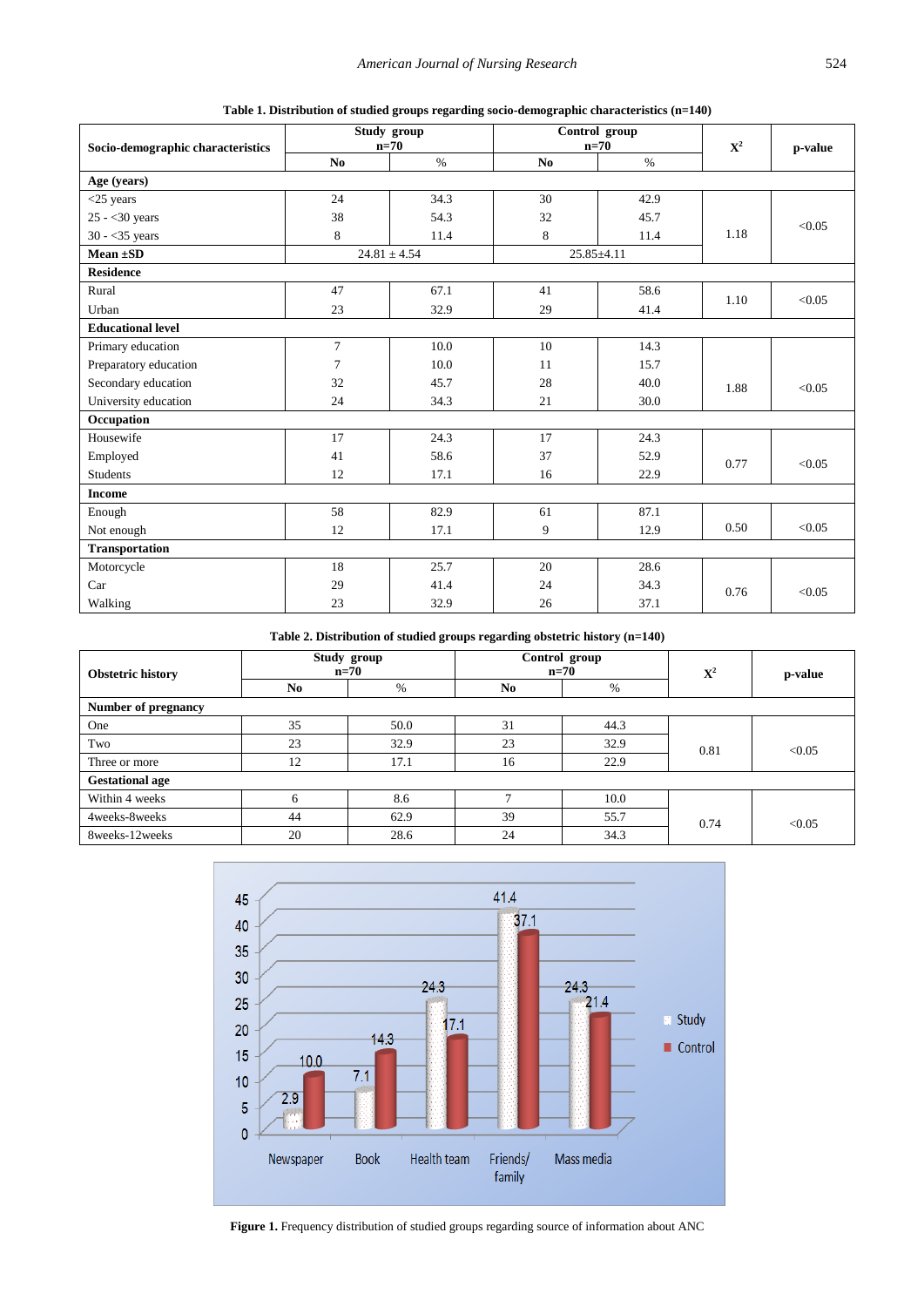|  | Table 1. Distribution of studied groups regarding socio-demographic characteristics (n=140) |  |  |  |
|--|---------------------------------------------------------------------------------------------|--|--|--|
|  |                                                                                             |  |  |  |

<span id="page-5-0"></span>

| Socio-demographic characteristics |                 | Study group<br>$n=70$ |                | Control group<br>$n=70$ | ${\bf X}^2$ | p-value |
|-----------------------------------|-----------------|-----------------------|----------------|-------------------------|-------------|---------|
|                                   | N <sub>0</sub>  | $\%$                  | N <sub>0</sub> | $\%$                    |             |         |
| Age (years)                       |                 |                       |                |                         |             |         |
| $<$ 25 years                      | 24              | 34.3                  | 30             | 42.9                    |             |         |
| $25 - 30$ years                   | 38              | 54.3                  | 32             | 45.7                    |             | < 0.05  |
| $30 - 35$ years                   | 8               | 11.4                  | 8              | 11.4                    | 1.18        |         |
| Mean $\pm SD$                     |                 | $24.81 \pm 4.54$      |                | $25.85 \pm 4.11$        |             |         |
| <b>Residence</b>                  |                 |                       |                |                         |             |         |
| Rural                             | 47              | 67.1                  | 41             | 58.6                    | 1.10        | < 0.05  |
| Urban                             | 23              | 32.9                  | 29             | 41.4                    |             |         |
| <b>Educational level</b>          |                 |                       |                |                         |             |         |
| Primary education                 | $\tau$          | 10.0                  | 10             | 14.3                    |             |         |
| Preparatory education             | $7\phantom{.0}$ | 10.0                  | 11             | 15.7                    |             |         |
| Secondary education               | 32              | 45.7                  | 28             | 40.0                    | 1.88        | < 0.05  |
| University education              | 24              | 34.3                  | 21             | 30.0                    |             |         |
| Occupation                        |                 |                       |                |                         |             |         |
| Housewife                         | 17              | 24.3                  | 17             | 24.3                    |             |         |
| Employed                          | 41              | 58.6                  | 37             | 52.9                    | 0.77        | < 0.05  |
| <b>Students</b>                   | 12              | 17.1                  | 16             | 22.9                    |             |         |
| <b>Income</b>                     |                 |                       |                |                         |             |         |
| Enough                            | 58              | 82.9                  | 61             | 87.1                    |             |         |
| Not enough                        | 12              | 17.1                  | 9              | 12.9                    | 0.50        | < 0.05  |
| <b>Transportation</b>             |                 |                       |                |                         |             |         |
| Motorcycle                        | 18              | 25.7                  | 20             | 28.6                    |             |         |
| Car                               | 29              | 41.4                  | 24             | 34.3                    | 0.76        | < 0.05  |
| Walking                           | 23              | 32.9                  | 26             | 37.1                    |             |         |

**Table 2. Distribution of studied groups regarding obstetric history (n=140)**

<span id="page-5-1"></span>

| <b>Obstetric history</b> | Study group<br>$n=70$ |      |             | Control group<br>$n=70$ | ${\bf X}^2$ | p-value |  |  |  |  |
|--------------------------|-----------------------|------|-------------|-------------------------|-------------|---------|--|--|--|--|
|                          | N <sub>0</sub>        | %    | No.<br>$\%$ |                         |             |         |  |  |  |  |
| Number of pregnancy      |                       |      |             |                         |             |         |  |  |  |  |
| One                      | 35                    | 50.0 | 31          | 44.3                    |             |         |  |  |  |  |
| Two                      | 23                    | 32.9 | 23          | 32.9                    | 0.81        | < 0.05  |  |  |  |  |
| Three or more            | 12                    | 17.1 | 16          | 22.9                    |             |         |  |  |  |  |
| <b>Gestational age</b>   |                       |      |             |                         |             |         |  |  |  |  |
| Within 4 weeks           | 6                     | 8.6  |             | 10.0                    |             |         |  |  |  |  |
| 4weeks-8weeks            | 44                    | 62.9 | 39          | 55.7                    | 0.74        | < 0.05  |  |  |  |  |
| 8weeks-12weeks           | 20                    | 28.6 | 24          | 34.3                    |             |         |  |  |  |  |

<span id="page-5-2"></span>

**Figure 1.** Frequency distribution of studied groups regarding source of information about ANC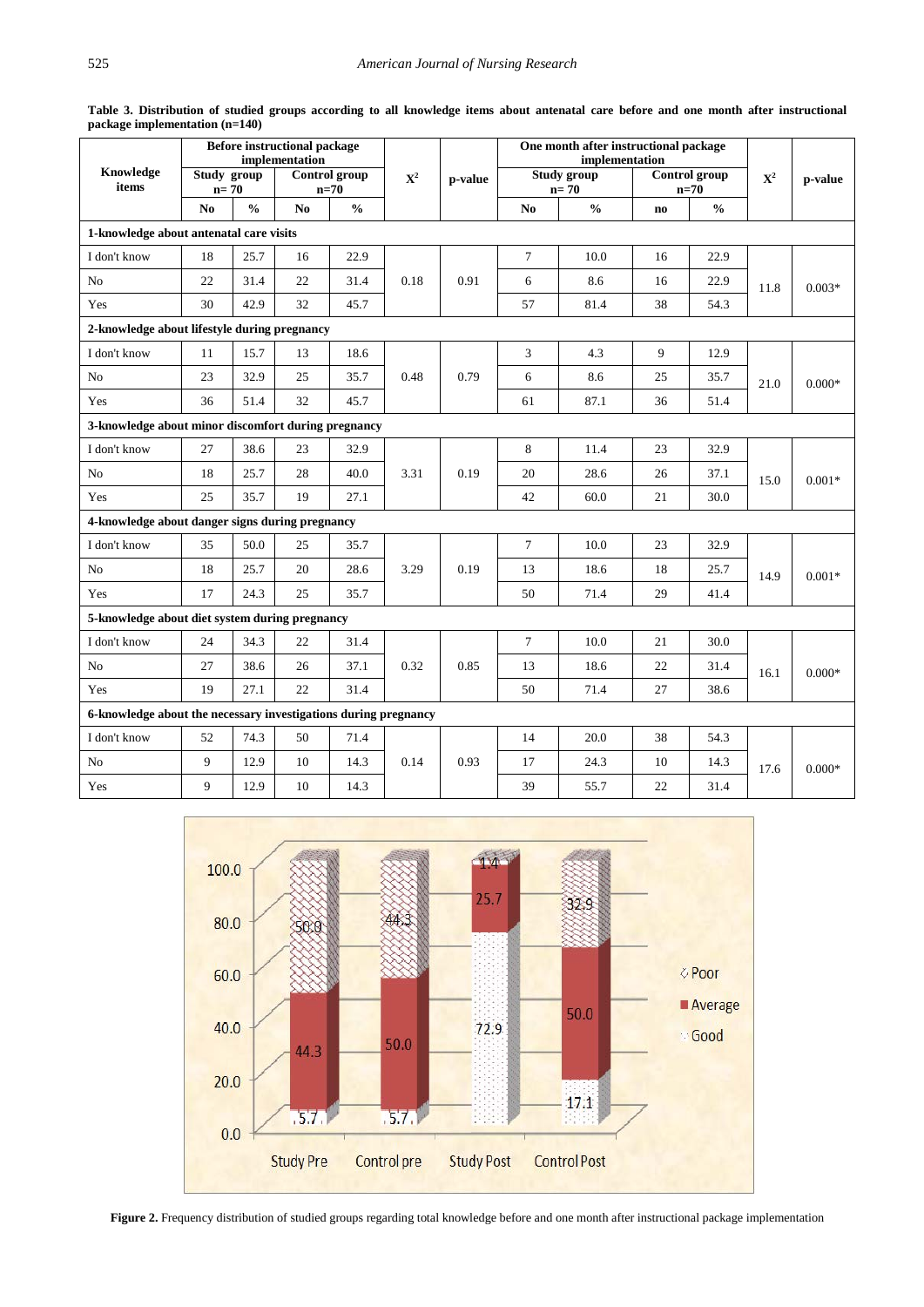<span id="page-6-0"></span>

|                                                                 | <b>Before instructional package</b><br>implementation |                                                  |                |               |             | One month after instructional package<br>implementation |                |                       |                        |                         |             |          |  |  |
|-----------------------------------------------------------------|-------------------------------------------------------|--------------------------------------------------|----------------|---------------|-------------|---------------------------------------------------------|----------------|-----------------------|------------------------|-------------------------|-------------|----------|--|--|
| Knowledge<br>items                                              |                                                       | Study group<br>Control group<br>$n=70$<br>$n=70$ |                |               | ${\bf X}^2$ | p-value                                                 |                | Study group<br>$n=70$ |                        | Control group<br>$n=70$ | ${\bf X}^2$ | p-value  |  |  |
|                                                                 | N <sub>0</sub>                                        | $\frac{0}{0}$                                    | N <sub>0</sub> | $\frac{0}{0}$ |             |                                                         | N <sub>0</sub> | $\frac{0}{0}$         | $\mathbf{n}\mathbf{o}$ | $\frac{6}{6}$           |             |          |  |  |
| 1-knowledge about antenatal care visits                         |                                                       |                                                  |                |               |             |                                                         |                |                       |                        |                         |             |          |  |  |
| I don't know                                                    | 18                                                    | 25.7                                             | 16             | 22.9          |             |                                                         | $\tau$         | 10.0                  | 16                     | 22.9                    |             |          |  |  |
| N <sub>o</sub>                                                  | 22                                                    | 31.4                                             | 22             | 31.4          | 0.18        | 0.91                                                    | 6              | 8.6                   | 16                     | 22.9                    | 11.8        | $0.003*$ |  |  |
| Yes                                                             | 30                                                    | 42.9                                             | 32             | 45.7          |             |                                                         | 57             | 81.4                  | 38                     | 54.3                    |             |          |  |  |
| 2-knowledge about lifestyle during pregnancy                    |                                                       |                                                  |                |               |             |                                                         |                |                       |                        |                         |             |          |  |  |
| I don't know                                                    | 11                                                    | 15.7                                             | 13             | 18.6          |             |                                                         | 3              | 4.3                   | 9                      | 12.9                    |             |          |  |  |
| N <sub>o</sub>                                                  | 23                                                    | 32.9                                             | 25             | 35.7          | 0.48        | 0.79                                                    | 6              | 8.6                   | 25                     | 35.7                    | 21.0        | $0.000*$ |  |  |
| Yes                                                             | 36                                                    | 51.4                                             | 32             | 45.7          |             |                                                         |                |                       | 61                     | 87.1                    | 36          | 51.4     |  |  |
| 3-knowledge about minor discomfort during pregnancy             |                                                       |                                                  |                |               |             |                                                         |                |                       |                        |                         |             |          |  |  |
| I don't know                                                    | 27                                                    | 38.6                                             | 23             | 32.9          |             |                                                         | 8              | 11.4                  | 23                     | 32.9                    |             |          |  |  |
| N <sub>0</sub>                                                  | 18                                                    | 25.7                                             | 28             | 40.0          | 3.31        | 0.19                                                    | 20             | 28.6                  | 26                     | 37.1                    | 15.0        | $0.001*$ |  |  |
| Yes                                                             | 25                                                    | 35.7                                             | 19             | 27.1          |             |                                                         | 42             | 60.0                  | 21                     | 30.0                    |             |          |  |  |
| 4-knowledge about danger signs during pregnancy                 |                                                       |                                                  |                |               |             |                                                         |                |                       |                        |                         |             |          |  |  |
| I don't know                                                    | 35                                                    | 50.0                                             | 25             | 35.7          |             |                                                         | $\tau$         | 10.0                  | 23                     | 32.9                    |             |          |  |  |
| No                                                              | 18                                                    | 25.7                                             | 20             | 28.6          | 3.29        | 0.19                                                    | 13             | 18.6                  | 18                     | 25.7                    | 14.9        | $0.001*$ |  |  |
| Yes                                                             | 17                                                    | 24.3                                             | 25             | 35.7          |             |                                                         | 50             | 71.4                  | 29                     | 41.4                    |             |          |  |  |
| 5-knowledge about diet system during pregnancy                  |                                                       |                                                  |                |               |             |                                                         |                |                       |                        |                         |             |          |  |  |
| I don't know                                                    | 24                                                    | 34.3                                             | 22             | 31.4          |             |                                                         | $\overline{7}$ | 10.0                  | 21                     | 30.0                    |             |          |  |  |
| N <sub>o</sub>                                                  | 27                                                    | 38.6                                             | 26             | 37.1          | 0.32        | 0.85                                                    | 13             | 18.6                  | 22                     | 31.4                    | 16.1        | $0.000*$ |  |  |
| Yes                                                             | 19                                                    | 27.1                                             | 22             | 31.4          |             |                                                         | 50             | 71.4                  | 27                     | 38.6                    |             |          |  |  |
| 6-knowledge about the necessary investigations during pregnancy |                                                       |                                                  |                |               |             |                                                         |                |                       |                        |                         |             |          |  |  |
| I don't know                                                    | 52                                                    | 74.3                                             | 50             | 71.4          |             |                                                         | 14             | 20.0                  | 38                     | 54.3                    |             |          |  |  |
| No                                                              | 9                                                     | 12.9                                             | 10             | 14.3          | 0.14        | 0.93                                                    | 17             | 24.3                  | 10                     | 14.3                    | 17.6        | $0.000*$ |  |  |
| Yes                                                             | 9                                                     | 12.9                                             | 10             | 14.3          |             |                                                         | 39             | 55.7                  | 22                     | 31.4                    |             |          |  |  |

**Table 3. Distribution of studied groups according to all knowledge items about antenatal care before and one month after instructional package implementation (n=140)**

<span id="page-6-1"></span>

**Figure 2.** Frequency distribution of studied groups regarding total knowledge before and one month after instructional package implementation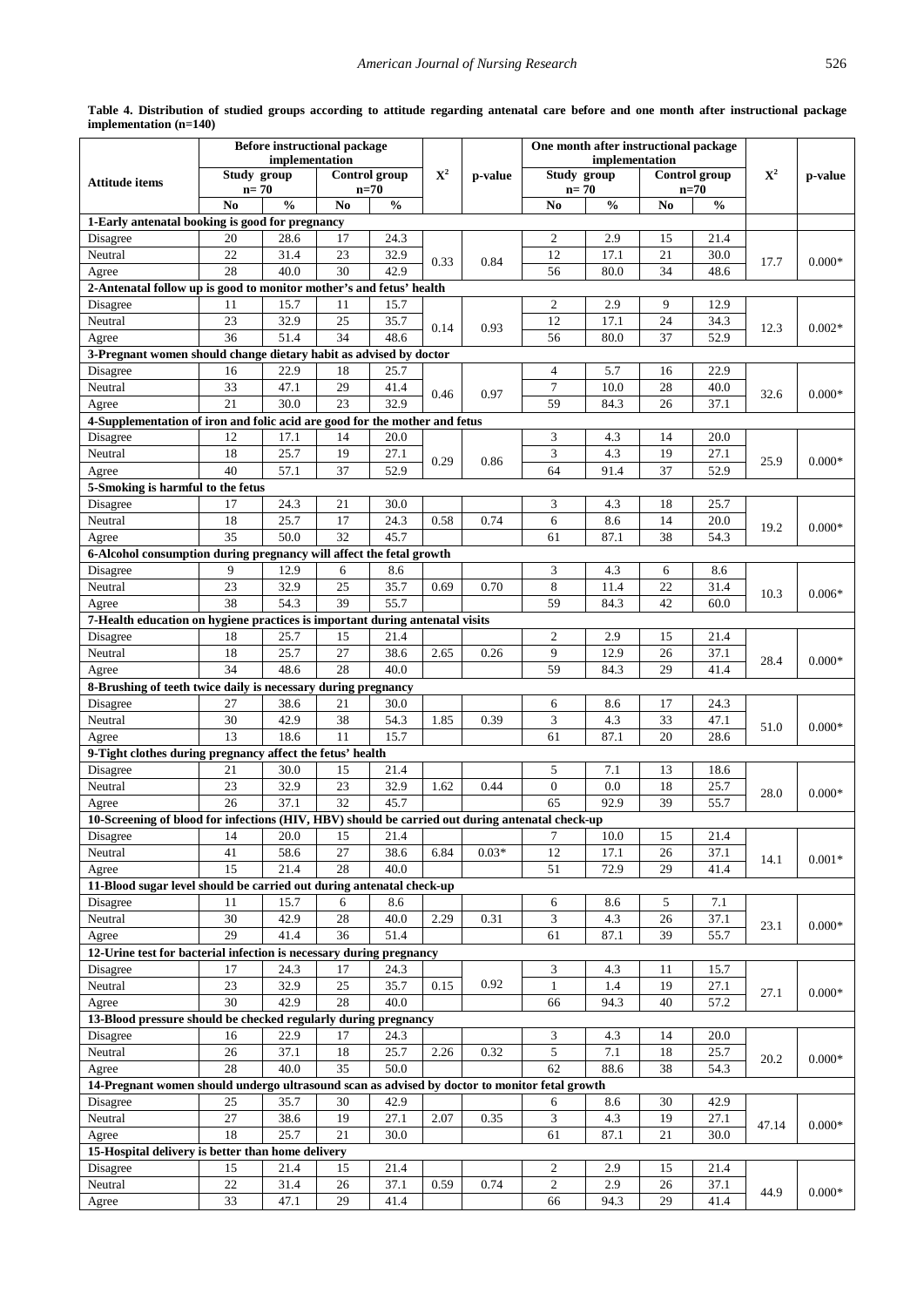<span id="page-7-0"></span>

|                                                                                                        |                 | <b>Before instructional package</b> |                |               |             |         | One month after instructional package |                |                |                      |             |          |
|--------------------------------------------------------------------------------------------------------|-----------------|-------------------------------------|----------------|---------------|-------------|---------|---------------------------------------|----------------|----------------|----------------------|-------------|----------|
|                                                                                                        | Study group     | implementation                      |                | Control group | ${\bf X}^2$ |         | Study group                           | implementation |                | <b>Control</b> group | ${\bf X}^2$ |          |
| <b>Attitude items</b>                                                                                  | $n=70$          |                                     | $n=70$         |               |             | p-value | $n=70$                                |                |                | $n=70$               |             | p-value  |
|                                                                                                        | N <sub>o</sub>  | $\mathbf{0}_{\mathbf{0}}^{\prime}$  | N <sub>0</sub> | $\frac{0}{0}$ |             |         | N <sub>0</sub>                        | $\frac{0}{0}$  | N <sub>0</sub> | $\frac{0}{0}$        |             |          |
| 1-Early antenatal booking is good for pregnancy                                                        |                 |                                     |                |               |             |         |                                       |                |                |                      |             |          |
| Disagree                                                                                               | 20              | 28.6                                | 17             | 24.3          |             |         | $\overline{2}$                        | 2.9            | 15             | 21.4                 |             |          |
| Neutral                                                                                                | 22              | 31.4                                | 23             | 32.9          | 0.33        | 0.84    | 12                                    | 17.1           | 21             | 30.0                 | 17.7        | $0.000*$ |
| Agree                                                                                                  | 28              | 40.0                                | 30             | 42.9          |             |         | 56                                    | 80.0           | 34             | 48.6                 |             |          |
| 2-Antenatal follow up is good to monitor mother's and fetus' health                                    |                 |                                     |                |               |             |         |                                       |                |                |                      |             |          |
| Disagree                                                                                               | 11              | 15.7                                | 11             | 15.7          |             |         | $\overline{c}$                        | 2.9            | 9              | 12.9                 |             |          |
| Neutral                                                                                                | 23              | 32.9                                | 25             | 35.7          | 0.14        | 0.93    | 12                                    | 17.1           | 24             | 34.3                 | 12.3        | $0.002*$ |
| Agree                                                                                                  | 36              | 51.4                                | 34             | 48.6          |             |         | 56                                    | 80.0           | 37             | 52.9                 |             |          |
| 3-Pregnant women should change dietary habit as advised by doctor                                      |                 |                                     |                |               |             |         |                                       |                |                |                      |             |          |
| Disagree<br>Neutral                                                                                    | 16<br>33        | 22.9<br>47.1                        | 18<br>29       | 25.7<br>41.4  |             |         | 4<br>$\tau$                           | 5.7<br>10.0    | 16<br>28       | 22.9<br>40.0         |             |          |
| Agree                                                                                                  | 21              | 30.0                                | 23             | 32.9          | 0.46        | 0.97    | 59                                    | 84.3           | 26             | 37.1                 | 32.6        | $0.000*$ |
| 4-Supplementation of iron and folic acid are good for the mother and fetus                             |                 |                                     |                |               |             |         |                                       |                |                |                      |             |          |
| Disagree                                                                                               | 12              | 17.1                                | 14             | 20.0          |             |         | 3                                     | 4.3            | 14             | 20.0                 |             |          |
| Neutral                                                                                                | 18              | 25.7                                | 19             | 27.1          |             |         | $\mathfrak{Z}$                        | 4.3            | 19             | 27.1                 |             |          |
| Agree                                                                                                  | 40              | 57.1                                | 37             | 52.9          | 0.29        | 0.86    | 64                                    | 91.4           | 37             | 52.9                 | 25.9        | $0.000*$ |
| 5-Smoking is harmful to the fetus                                                                      |                 |                                     |                |               |             |         |                                       |                |                |                      |             |          |
| Disagree                                                                                               | 17              | 24.3                                | 21             | 30.0          |             |         | 3                                     | 4.3            | 18             | 25.7                 |             |          |
| Neutral                                                                                                | 18              | 25.7                                | 17             | 24.3          | 0.58        | 0.74    | 6                                     | 8.6            | 14             | 20.0                 |             |          |
| Agree                                                                                                  | 35              | 50.0                                | 32             | 45.7          |             |         | 61                                    | 87.1           | 38             | 54.3                 | 19.2        | $0.000*$ |
| 6-Alcohol consumption during pregnancy will affect the fetal growth                                    |                 |                                     |                |               |             |         |                                       |                |                |                      |             |          |
| Disagree                                                                                               | 9               | 12.9                                | 6              | 8.6           |             |         | 3                                     | 4.3            | 6              | 8.6                  |             |          |
| Neutral                                                                                                | 23              | 32.9                                | 25             | 35.7          | 0.69        | 0.70    | 8                                     | 11.4           | 22             | 31.4                 | 10.3        | $0.006*$ |
| Agree                                                                                                  | 38              | 54.3                                | 39             | 55.7          |             |         | 59                                    | 84.3           | 42             | 60.0                 |             |          |
| 7-Health education on hygiene practices is important during antenatal visits                           |                 |                                     |                |               |             |         |                                       |                |                |                      |             |          |
| Disagree                                                                                               | 18              | 25.7                                | 15             | 21.4          |             |         | $\overline{c}$                        | 2.9            | 15             | 21.4                 |             |          |
| Neutral                                                                                                | 18              | 25.7                                | 27             | 38.6          | 2.65        | 0.26    | 9                                     | 12.9           | 26             | 37.1                 | 28.4        | $0.000*$ |
| Agree                                                                                                  | 34              | 48.6                                | 28             | 40.0          |             |         | 59                                    | 84.3           | 29             | 41.4                 |             |          |
| 8-Brushing of teeth twice daily is necessary during pregnancy                                          |                 |                                     |                |               |             |         |                                       |                |                |                      |             |          |
| Disagree                                                                                               | 27              | 38.6                                | 21             | 30.0          |             |         | 6                                     | 8.6            | 17             | 24.3                 |             |          |
| Neutral                                                                                                | 30              | 42.9                                | 38             | 54.3          | 1.85        | 0.39    | 3                                     | 4.3            | 33             | 47.1                 | 51.0        | $0.000*$ |
| Agree                                                                                                  | 13              | 18.6                                | 11             | 15.7          |             |         | 61                                    | 87.1           | 20             | 28.6                 |             |          |
| 9-Tight clothes during pregnancy affect the fetus' health<br>Disagree                                  | 21              | 30.0                                | 15             | 21.4          |             |         | 5                                     | 7.1            | 13             | 18.6                 |             |          |
| Neutral                                                                                                | 23              | 32.9                                | 23             | 32.9          | 1.62        | 0.44    | $\overline{0}$                        | 0.0            | 18             | 25.7                 |             |          |
| Agree                                                                                                  | 26              | 37.1                                | 32             | 45.7          |             |         | 65                                    | 92.9           | 39             | 55.7                 | 28.0        | $0.000*$ |
| 10-Screening of blood for infections (HIV, HBV) should be carried out during antenatal check-up        |                 |                                     |                |               |             |         |                                       |                |                |                      |             |          |
| Disagree                                                                                               | 14              | 20.0                                | 15             | 21.4          |             |         | 7                                     | 10.0           | 15             | 21.4                 |             |          |
| Neutral                                                                                                | 41              | 58.6                                | 27             | 38.6          | 6.84        | $0.03*$ | 12                                    | 17.1           | 26             | 37.1                 |             |          |
| Agree                                                                                                  | 15              | 21.4                                | 28             | 40.0          |             |         | 51                                    | 72.9           | 29             | 41.4                 | 14.1        | $0.001*$ |
| 11-Blood sugar level should be carried out during antenatal check-up                                   |                 |                                     |                |               |             |         |                                       |                |                |                      |             |          |
| Disagree                                                                                               | 11              | 15.7                                | 6              | 8.6           |             |         | 6                                     | 8.6            | 5              | 7.1                  |             |          |
| Neutral                                                                                                | 30              | 42.9                                | 28             | 40.0          | 2.29        | 0.31    | 3                                     | 4.3            | $26\,$         | 37.1                 | 23.1        | $0.000*$ |
| Agree                                                                                                  | 29              | 41.4                                | 36             | 51.4          |             |         | 61                                    | 87.1           | 39             | 55.7                 |             |          |
| 12-Urine test for bacterial infection is necessary during pregnancy                                    |                 |                                     |                |               |             |         |                                       |                |                |                      |             |          |
| Disagree                                                                                               | 17              | 24.3                                | 17             | 24.3          |             |         | 3                                     | 4.3            | 11             | 15.7                 |             |          |
| Neutral                                                                                                | $23\,$          | 32.9                                | 25             | 35.7          | 0.15        | 0.92    | $\mathbf{1}$                          | 1.4            | 19             | 27.1                 | 27.1        | $0.000*$ |
| Agree                                                                                                  | 30              | 42.9                                | 28             | 40.0          |             |         | 66                                    | 94.3           | 40             | 57.2                 |             |          |
| 13-Blood pressure should be checked regularly during pregnancy                                         |                 |                                     |                |               |             |         |                                       |                |                |                      |             |          |
| Disagree                                                                                               | 16              | 22.9                                | 17             | 24.3          |             |         | 3                                     | 4.3            | 14             | 20.0                 |             |          |
| Neutral                                                                                                | 26<br>28        | 37.1<br>40.0                        | 18<br>35       | 25.7<br>50.0  | 2.26        | 0.32    | 5<br>62                               | 7.1            | 18             | 25.7                 | 20.2        | $0.000*$ |
| Agree<br>14-Pregnant women should undergo ultrasound scan as advised by doctor to monitor fetal growth |                 |                                     |                |               |             |         |                                       | 88.6           | 38             | 54.3                 |             |          |
| Disagree                                                                                               | 25              | 35.7                                | 30             | 42.9          |             |         | 6                                     | 8.6            | 30             | 42.9                 |             |          |
| Neutral                                                                                                | $\overline{27}$ | 38.6                                | 19             | 27.1          | 2.07        | 0.35    | 3                                     | 4.3            | 19             | 27.1                 |             |          |
| Agree                                                                                                  | 18              | 25.7                                | 21             | 30.0          |             |         | 61                                    | 87.1           | 21             | 30.0                 | 47.14       | $0.000*$ |
| 15-Hospital delivery is better than home delivery                                                      |                 |                                     |                |               |             |         |                                       |                |                |                      |             |          |
| Disagree                                                                                               | 15              | 21.4                                | 15             | 21.4          |             |         | 2                                     | 2.9            | 15             | 21.4                 |             |          |
| Neutral                                                                                                | 22              | 31.4                                | 26             | 37.1          | 0.59        | 0.74    | $\mathfrak{2}$                        | 2.9            | 26             | 37.1                 |             |          |
| Agree                                                                                                  | 33              | 47.1                                | 29             | 41.4          |             |         | 66                                    | 94.3           | 29             | 41.4                 | 44.9        | $0.000*$ |
|                                                                                                        |                 |                                     |                |               |             |         |                                       |                |                |                      |             |          |

**Table 4. Distribution of studied groups according to attitude regarding antenatal care before and one month after instructional package implementation (n=140)**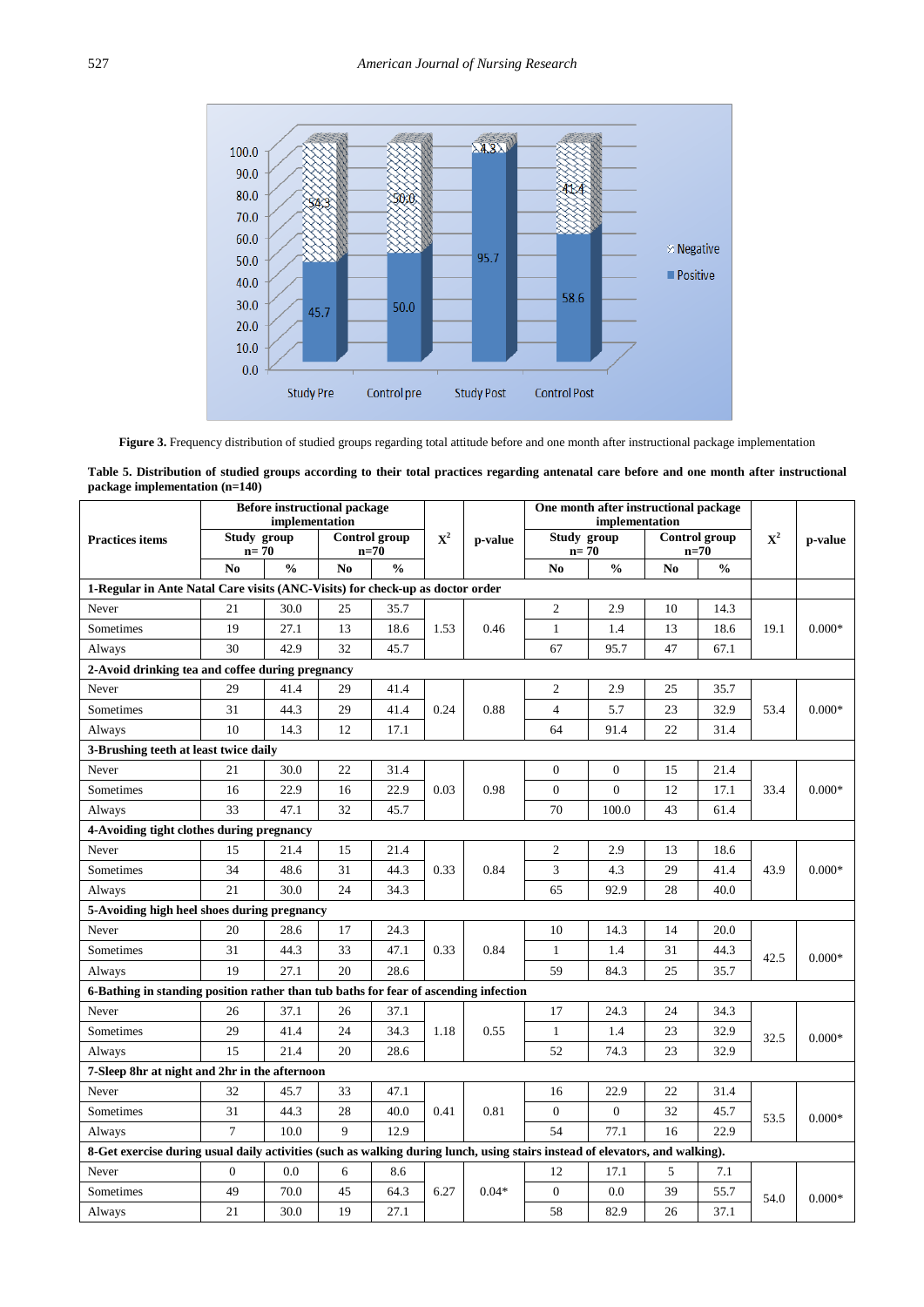<span id="page-8-0"></span>

**Figure 3.** Frequency distribution of studied groups regarding total attitude before and one month after instructional package implementation

| Table 5. Distribution of studied groups according to their total practices regarding antenatal care before and one month after instructional |  |  |  |  |
|----------------------------------------------------------------------------------------------------------------------------------------------|--|--|--|--|
| package implementation $(n=140)$                                                                                                             |  |  |  |  |

<span id="page-8-1"></span>

|                                                                                                                              |                       | <b>Before instructional package</b><br>implementation |                              |               |                |         |                       | One month after instructional package<br>implementation |                |                                |                |          |
|------------------------------------------------------------------------------------------------------------------------------|-----------------------|-------------------------------------------------------|------------------------------|---------------|----------------|---------|-----------------------|---------------------------------------------------------|----------------|--------------------------------|----------------|----------|
| <b>Practices items</b>                                                                                                       | Study group<br>$n=70$ |                                                       | <b>Control</b> group<br>n=70 |               | $\mathbf{X}^2$ | p-value | Study group<br>$n=70$ |                                                         |                | <b>Control</b> group<br>$n=70$ | $\mathbf{X}^2$ | p-value  |
|                                                                                                                              | N <sub>0</sub>        | $\frac{0}{0}$                                         | No                           | $\frac{0}{0}$ |                |         | N <sub>0</sub>        | $\frac{0}{0}$                                           | N <sub>0</sub> | $\frac{0}{0}$                  |                |          |
| 1-Regular in Ante Natal Care visits (ANC-Visits) for check-up as doctor order                                                |                       |                                                       |                              |               |                |         |                       |                                                         |                |                                |                |          |
| Never                                                                                                                        | 21                    | 30.0                                                  | 25                           | 35.7          |                |         | 2                     | 2.9                                                     | 10             | 14.3                           |                |          |
| Sometimes                                                                                                                    | 19                    | 27.1                                                  | 13                           | 18.6          | 1.53           | 0.46    | $\mathbf{1}$          | 1.4                                                     | 13             | 18.6                           | 19.1           | $0.000*$ |
| Always                                                                                                                       | 30                    | 42.9                                                  | 32                           | 45.7          |                |         | 67                    | 95.7                                                    | 47             | 67.1                           |                |          |
| 2-Avoid drinking tea and coffee during pregnancy                                                                             |                       |                                                       |                              |               |                |         |                       |                                                         |                |                                |                |          |
| Never                                                                                                                        | 29                    | 41.4                                                  | 29                           | 41.4          |                |         | $\overline{c}$        | 2.9                                                     | 25             | 35.7                           |                |          |
| Sometimes                                                                                                                    | 31                    | 44.3                                                  | 29                           | 41.4          | 0.24           | 0.88    | $\overline{4}$        | 5.7                                                     | 23             | 32.9                           | 53.4           | $0.000*$ |
| Always                                                                                                                       | 10                    | 14.3                                                  | 12                           | 17.1          |                |         | 64                    | 91.4                                                    | 22             | 31.4                           |                |          |
| 3-Brushing teeth at least twice daily                                                                                        |                       |                                                       |                              |               |                |         |                       |                                                         |                |                                |                |          |
| Never                                                                                                                        | 21                    | 30.0                                                  | 22                           | 31.4          |                |         | $\boldsymbol{0}$      | $\boldsymbol{0}$                                        | 15             | 21.4                           |                |          |
| Sometimes                                                                                                                    | 16                    | 22.9                                                  | 16                           | 22.9          | 0.03           | 0.98    | $\overline{0}$        | $\overline{0}$                                          | 12             | 17.1                           | 33.4           | $0.000*$ |
| Always                                                                                                                       | 33                    | 47.1                                                  | 32                           | 45.7          |                |         | 70                    | 100.0                                                   | 43             | 61.4                           |                |          |
| 4-Avoiding tight clothes during pregnancy                                                                                    |                       |                                                       |                              |               |                |         |                       |                                                         |                |                                |                |          |
| Never                                                                                                                        | 15                    | 21.4                                                  | 15                           | 21.4          |                |         | 2                     | 2.9                                                     | 13             | 18.6                           |                |          |
| Sometimes                                                                                                                    | 34                    | 48.6                                                  | 31                           | 44.3          | 0.33           | 0.84    | 3                     | 4.3                                                     | 29             | 41.4                           | 43.9           | $0.000*$ |
| Always                                                                                                                       | 21                    | 30.0                                                  | 24                           | 34.3          |                |         | 65                    | 92.9                                                    | 28             | 40.0                           |                |          |
| 5-Avoiding high heel shoes during pregnancy                                                                                  |                       |                                                       |                              |               |                |         |                       |                                                         |                |                                |                |          |
| Never                                                                                                                        | 20                    | 28.6                                                  | 17                           | 24.3          |                |         | 10                    | 14.3                                                    | 14             | 20.0                           |                |          |
| Sometimes                                                                                                                    | 31                    | 44.3                                                  | 33                           | 47.1          | 0.33           | 0.84    | $\mathbf{1}$          | 1.4                                                     | 31             | 44.3                           | 42.5           | $0.000*$ |
| Always                                                                                                                       | 19                    | 27.1                                                  | 20                           | 28.6          |                |         | 59                    | 84.3                                                    | 25             | 35.7                           |                |          |
| 6-Bathing in standing position rather than tub baths for fear of ascending infection                                         |                       |                                                       |                              |               |                |         |                       |                                                         |                |                                |                |          |
| Never                                                                                                                        | 26                    | 37.1                                                  | 26                           | 37.1          |                |         | 17                    | 24.3                                                    | 24             | 34.3                           |                |          |
| Sometimes                                                                                                                    | 29                    | 41.4                                                  | 24                           | 34.3          | 1.18           | 0.55    | $\mathbf{1}$          | 1.4                                                     | 23             | 32.9                           | 32.5           | $0.000*$ |
| Always                                                                                                                       | 15                    | 21.4                                                  | 20                           | 28.6          |                |         | 52                    | 74.3                                                    | 23             | 32.9                           |                |          |
| 7-Sleep 8hr at night and 2hr in the afternoon                                                                                |                       |                                                       |                              |               |                |         |                       |                                                         |                |                                |                |          |
| Never                                                                                                                        | 32                    | 45.7                                                  | 33                           | 47.1          |                |         | 16                    | 22.9                                                    | 22             | 31.4                           |                |          |
| Sometimes                                                                                                                    | 31                    | 44.3                                                  | 28                           | 40.0          | 0.41           | 0.81    | $\overline{0}$        | $\overline{0}$                                          | 32             | 45.7                           | 53.5           | $0.000*$ |
| Always                                                                                                                       | $\overline{7}$        | 10.0                                                  | 9                            | 12.9          |                |         | 54                    | 77.1                                                    | 16             | 22.9                           |                |          |
| 8-Get exercise during usual daily activities (such as walking during lunch, using stairs instead of elevators, and walking). |                       |                                                       |                              |               |                |         |                       |                                                         |                |                                |                |          |
| Never                                                                                                                        | $\boldsymbol{0}$      | 0.0                                                   | 6                            | 8.6           |                |         | 12                    | 17.1                                                    | 5              | 7.1                            |                |          |
| Sometimes                                                                                                                    | 49                    | 70.0                                                  | 45                           | 64.3          | 6.27           | $0.04*$ | $\overline{0}$        | 0.0                                                     | 39             | 55.7                           | 54.0           | $0.000*$ |
| Always                                                                                                                       | 21                    | 30.0                                                  | 19                           | 27.1          |                |         | 58                    | 82.9                                                    | 26             | 37.1                           |                |          |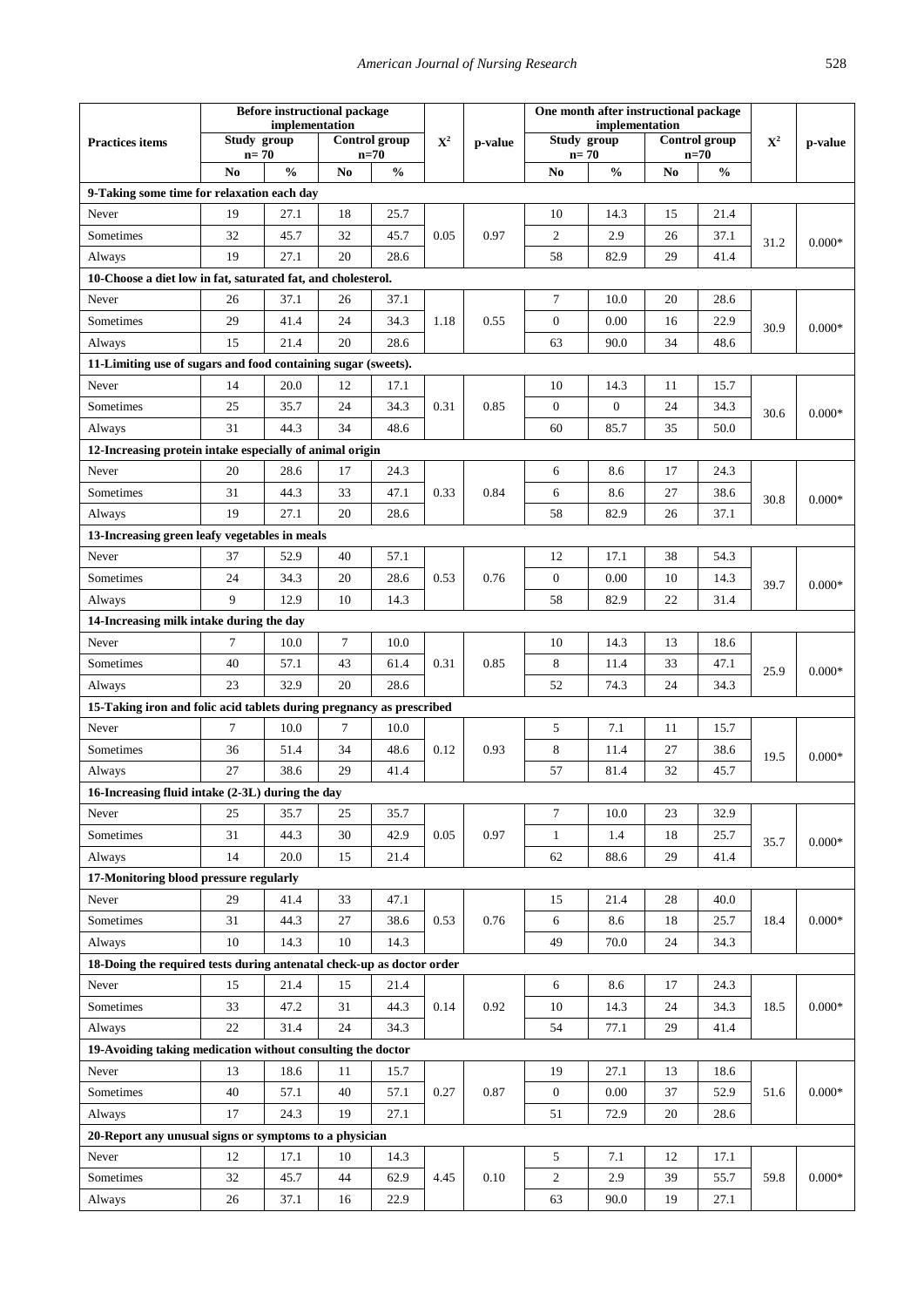| implementation<br>implementation<br>Control group<br>Control group<br>Study group<br>Study group<br>${\bf X}^2$<br>${\bf X}^2$<br><b>Practices items</b><br>p-value<br>p-value<br>$n=70$<br>$n=70$<br>$n=70$<br>$n=70$<br>N <sub>o</sub><br>$\frac{0}{0}$<br>No<br>$\frac{0}{0}$<br>$\frac{0}{0}$<br>No<br>No.<br>$\frac{0}{0}$<br>9-Taking some time for relaxation each day<br>19<br>27.1<br>18<br>Never<br>25.7<br>10<br>14.3<br>15<br>21.4<br>32<br>45.7<br>32<br>45.7<br>0.05<br>0.97<br>$\overline{c}$<br>2.9<br>26<br>37.1<br>Sometimes<br>31.2<br>$0.000*$<br>19<br>27.1<br>20<br>28.6<br>58<br>82.9<br>29<br>41.4<br>Always<br>10-Choose a diet low in fat, saturated fat, and cholesterol.<br>$\tau$<br>26<br>37.1<br>26<br>37.1<br>10.0<br>20<br>28.6<br>Never<br>24<br>Sometimes<br>29<br>41.4<br>34.3<br>1.18<br>0.55<br>$\boldsymbol{0}$<br>0.00<br>16<br>22.9<br>$0.000*$<br>30.9<br>15<br>21.4<br>20<br>28.6<br>63<br>90.0<br>34<br>48.6<br>Always<br>11-Limiting use of sugars and food containing sugar (sweets).<br>20.0<br>12<br>14.3<br>11<br>Never<br>14<br>17.1<br>10<br>15.7<br>24<br>$\boldsymbol{0}$<br>$\boldsymbol{0}$<br>25<br>35.7<br>34.3<br>0.31<br>0.85<br>24<br>Sometimes<br>34.3<br>$0.000*$<br>30.6<br>31<br>34<br>60<br>85.7<br>44.3<br>48.6<br>35<br>50.0<br>Always<br>12-Increasing protein intake especially of animal origin<br>17<br>20<br>28.6<br>24.3<br>6<br>8.6<br>17<br>24.3<br>Never<br>31<br>33<br>0.84<br>8.6<br>Sometimes<br>44.3<br>47.1<br>0.33<br>6<br>27<br>38.6<br>30.8<br>$0.000*$<br>19<br>27.1<br>20<br>58<br>82.9<br>26<br>37.1<br>Always<br>28.6<br>13-Increasing green leafy vegetables in meals<br>37<br>52.9<br>40<br>57.1<br>12<br>17.1<br>38<br>54.3<br>Never<br>Sometimes<br>24<br>34.3<br>20<br>0.53<br>0.76<br>$\boldsymbol{0}$<br>0.00<br>28.6<br>10<br>14.3<br>39.7<br>$0.000*$<br>9<br>58<br>12.9<br>10<br>14.3<br>82.9<br>22<br>31.4<br>Always<br>14-Increasing milk intake during the day<br>7<br>7<br>Never<br>10.0<br>10.0<br>10<br>14.3<br>13<br>18.6<br>8<br>40<br>57.1<br>43<br>61.4<br>0.31<br>0.85<br>11.4<br>33<br>47.1<br>Sometimes<br>25.9<br>$0.000*$<br>20<br>23<br>32.9<br>28.6<br>52<br>74.3<br>24<br>34.3<br>Always<br>15-Taking iron and folic acid tablets during pregnancy as prescribed<br>$\overline{7}$<br>10.0<br>7<br>10.0<br>7.1<br>15.7<br>Never<br>5<br>11<br>34<br>48.6<br>0.12<br>0.93<br>8<br>Sometimes<br>36<br>51.4<br>11.4<br>27<br>38.6<br>19.5<br>$0.000*$<br>32<br>27<br>38.6<br>29<br>41.4<br>57<br>81.4<br>45.7<br>Always<br>16-Increasing fluid intake (2-3L) during the day<br>$\tau$<br>10.0<br>23<br>Never<br>25<br>35.7<br>25<br>35.7<br>32.9<br>42.9<br>0.05<br>0.97<br>Sometimes<br>31<br>44.3<br>30<br>$\mathbf{1}$<br>1.4<br>18<br>25.7<br>$0.000*$<br>35.7<br>14<br>20.0<br>15<br>62<br>88.6<br>29<br>Always<br>21.4<br>41.4<br>17-Monitoring blood pressure regularly<br>29<br>Never<br>41.4<br>33<br>47.1<br>15<br>21.4<br>28<br>40.0<br>$0.000*$<br>Sometimes<br>31<br>44.3<br>27<br>0.53<br>0.76<br>38.6<br>6<br>8.6<br>18<br>25.7<br>18.4<br>10<br>14.3<br>10<br>14.3<br>49<br>70.0<br>24<br>34.3<br>Always |
|-------------------------------------------------------------------------------------------------------------------------------------------------------------------------------------------------------------------------------------------------------------------------------------------------------------------------------------------------------------------------------------------------------------------------------------------------------------------------------------------------------------------------------------------------------------------------------------------------------------------------------------------------------------------------------------------------------------------------------------------------------------------------------------------------------------------------------------------------------------------------------------------------------------------------------------------------------------------------------------------------------------------------------------------------------------------------------------------------------------------------------------------------------------------------------------------------------------------------------------------------------------------------------------------------------------------------------------------------------------------------------------------------------------------------------------------------------------------------------------------------------------------------------------------------------------------------------------------------------------------------------------------------------------------------------------------------------------------------------------------------------------------------------------------------------------------------------------------------------------------------------------------------------------------------------------------------------------------------------------------------------------------------------------------------------------------------------------------------------------------------------------------------------------------------------------------------------------------------------------------------------------------------------------------------------------------------------------------------------------------------------------------------------------------------------------------------------------------------------------------------------------------------------------------------------------------------------------------------------------------------------------------------------------------------------------------------------------------------------------------------------------------------------------------------------------------------------------------------------------------------------------------------------------------------------------------------------------------------------------------------------------------------------------------------------------------------------------------------------------------------------------------|
|                                                                                                                                                                                                                                                                                                                                                                                                                                                                                                                                                                                                                                                                                                                                                                                                                                                                                                                                                                                                                                                                                                                                                                                                                                                                                                                                                                                                                                                                                                                                                                                                                                                                                                                                                                                                                                                                                                                                                                                                                                                                                                                                                                                                                                                                                                                                                                                                                                                                                                                                                                                                                                                                                                                                                                                                                                                                                                                                                                                                                                                                                                                                           |
|                                                                                                                                                                                                                                                                                                                                                                                                                                                                                                                                                                                                                                                                                                                                                                                                                                                                                                                                                                                                                                                                                                                                                                                                                                                                                                                                                                                                                                                                                                                                                                                                                                                                                                                                                                                                                                                                                                                                                                                                                                                                                                                                                                                                                                                                                                                                                                                                                                                                                                                                                                                                                                                                                                                                                                                                                                                                                                                                                                                                                                                                                                                                           |
|                                                                                                                                                                                                                                                                                                                                                                                                                                                                                                                                                                                                                                                                                                                                                                                                                                                                                                                                                                                                                                                                                                                                                                                                                                                                                                                                                                                                                                                                                                                                                                                                                                                                                                                                                                                                                                                                                                                                                                                                                                                                                                                                                                                                                                                                                                                                                                                                                                                                                                                                                                                                                                                                                                                                                                                                                                                                                                                                                                                                                                                                                                                                           |
|                                                                                                                                                                                                                                                                                                                                                                                                                                                                                                                                                                                                                                                                                                                                                                                                                                                                                                                                                                                                                                                                                                                                                                                                                                                                                                                                                                                                                                                                                                                                                                                                                                                                                                                                                                                                                                                                                                                                                                                                                                                                                                                                                                                                                                                                                                                                                                                                                                                                                                                                                                                                                                                                                                                                                                                                                                                                                                                                                                                                                                                                                                                                           |
|                                                                                                                                                                                                                                                                                                                                                                                                                                                                                                                                                                                                                                                                                                                                                                                                                                                                                                                                                                                                                                                                                                                                                                                                                                                                                                                                                                                                                                                                                                                                                                                                                                                                                                                                                                                                                                                                                                                                                                                                                                                                                                                                                                                                                                                                                                                                                                                                                                                                                                                                                                                                                                                                                                                                                                                                                                                                                                                                                                                                                                                                                                                                           |
|                                                                                                                                                                                                                                                                                                                                                                                                                                                                                                                                                                                                                                                                                                                                                                                                                                                                                                                                                                                                                                                                                                                                                                                                                                                                                                                                                                                                                                                                                                                                                                                                                                                                                                                                                                                                                                                                                                                                                                                                                                                                                                                                                                                                                                                                                                                                                                                                                                                                                                                                                                                                                                                                                                                                                                                                                                                                                                                                                                                                                                                                                                                                           |
|                                                                                                                                                                                                                                                                                                                                                                                                                                                                                                                                                                                                                                                                                                                                                                                                                                                                                                                                                                                                                                                                                                                                                                                                                                                                                                                                                                                                                                                                                                                                                                                                                                                                                                                                                                                                                                                                                                                                                                                                                                                                                                                                                                                                                                                                                                                                                                                                                                                                                                                                                                                                                                                                                                                                                                                                                                                                                                                                                                                                                                                                                                                                           |
|                                                                                                                                                                                                                                                                                                                                                                                                                                                                                                                                                                                                                                                                                                                                                                                                                                                                                                                                                                                                                                                                                                                                                                                                                                                                                                                                                                                                                                                                                                                                                                                                                                                                                                                                                                                                                                                                                                                                                                                                                                                                                                                                                                                                                                                                                                                                                                                                                                                                                                                                                                                                                                                                                                                                                                                                                                                                                                                                                                                                                                                                                                                                           |
|                                                                                                                                                                                                                                                                                                                                                                                                                                                                                                                                                                                                                                                                                                                                                                                                                                                                                                                                                                                                                                                                                                                                                                                                                                                                                                                                                                                                                                                                                                                                                                                                                                                                                                                                                                                                                                                                                                                                                                                                                                                                                                                                                                                                                                                                                                                                                                                                                                                                                                                                                                                                                                                                                                                                                                                                                                                                                                                                                                                                                                                                                                                                           |
|                                                                                                                                                                                                                                                                                                                                                                                                                                                                                                                                                                                                                                                                                                                                                                                                                                                                                                                                                                                                                                                                                                                                                                                                                                                                                                                                                                                                                                                                                                                                                                                                                                                                                                                                                                                                                                                                                                                                                                                                                                                                                                                                                                                                                                                                                                                                                                                                                                                                                                                                                                                                                                                                                                                                                                                                                                                                                                                                                                                                                                                                                                                                           |
|                                                                                                                                                                                                                                                                                                                                                                                                                                                                                                                                                                                                                                                                                                                                                                                                                                                                                                                                                                                                                                                                                                                                                                                                                                                                                                                                                                                                                                                                                                                                                                                                                                                                                                                                                                                                                                                                                                                                                                                                                                                                                                                                                                                                                                                                                                                                                                                                                                                                                                                                                                                                                                                                                                                                                                                                                                                                                                                                                                                                                                                                                                                                           |
|                                                                                                                                                                                                                                                                                                                                                                                                                                                                                                                                                                                                                                                                                                                                                                                                                                                                                                                                                                                                                                                                                                                                                                                                                                                                                                                                                                                                                                                                                                                                                                                                                                                                                                                                                                                                                                                                                                                                                                                                                                                                                                                                                                                                                                                                                                                                                                                                                                                                                                                                                                                                                                                                                                                                                                                                                                                                                                                                                                                                                                                                                                                                           |
|                                                                                                                                                                                                                                                                                                                                                                                                                                                                                                                                                                                                                                                                                                                                                                                                                                                                                                                                                                                                                                                                                                                                                                                                                                                                                                                                                                                                                                                                                                                                                                                                                                                                                                                                                                                                                                                                                                                                                                                                                                                                                                                                                                                                                                                                                                                                                                                                                                                                                                                                                                                                                                                                                                                                                                                                                                                                                                                                                                                                                                                                                                                                           |
|                                                                                                                                                                                                                                                                                                                                                                                                                                                                                                                                                                                                                                                                                                                                                                                                                                                                                                                                                                                                                                                                                                                                                                                                                                                                                                                                                                                                                                                                                                                                                                                                                                                                                                                                                                                                                                                                                                                                                                                                                                                                                                                                                                                                                                                                                                                                                                                                                                                                                                                                                                                                                                                                                                                                                                                                                                                                                                                                                                                                                                                                                                                                           |
|                                                                                                                                                                                                                                                                                                                                                                                                                                                                                                                                                                                                                                                                                                                                                                                                                                                                                                                                                                                                                                                                                                                                                                                                                                                                                                                                                                                                                                                                                                                                                                                                                                                                                                                                                                                                                                                                                                                                                                                                                                                                                                                                                                                                                                                                                                                                                                                                                                                                                                                                                                                                                                                                                                                                                                                                                                                                                                                                                                                                                                                                                                                                           |
|                                                                                                                                                                                                                                                                                                                                                                                                                                                                                                                                                                                                                                                                                                                                                                                                                                                                                                                                                                                                                                                                                                                                                                                                                                                                                                                                                                                                                                                                                                                                                                                                                                                                                                                                                                                                                                                                                                                                                                                                                                                                                                                                                                                                                                                                                                                                                                                                                                                                                                                                                                                                                                                                                                                                                                                                                                                                                                                                                                                                                                                                                                                                           |
|                                                                                                                                                                                                                                                                                                                                                                                                                                                                                                                                                                                                                                                                                                                                                                                                                                                                                                                                                                                                                                                                                                                                                                                                                                                                                                                                                                                                                                                                                                                                                                                                                                                                                                                                                                                                                                                                                                                                                                                                                                                                                                                                                                                                                                                                                                                                                                                                                                                                                                                                                                                                                                                                                                                                                                                                                                                                                                                                                                                                                                                                                                                                           |
|                                                                                                                                                                                                                                                                                                                                                                                                                                                                                                                                                                                                                                                                                                                                                                                                                                                                                                                                                                                                                                                                                                                                                                                                                                                                                                                                                                                                                                                                                                                                                                                                                                                                                                                                                                                                                                                                                                                                                                                                                                                                                                                                                                                                                                                                                                                                                                                                                                                                                                                                                                                                                                                                                                                                                                                                                                                                                                                                                                                                                                                                                                                                           |
|                                                                                                                                                                                                                                                                                                                                                                                                                                                                                                                                                                                                                                                                                                                                                                                                                                                                                                                                                                                                                                                                                                                                                                                                                                                                                                                                                                                                                                                                                                                                                                                                                                                                                                                                                                                                                                                                                                                                                                                                                                                                                                                                                                                                                                                                                                                                                                                                                                                                                                                                                                                                                                                                                                                                                                                                                                                                                                                                                                                                                                                                                                                                           |
|                                                                                                                                                                                                                                                                                                                                                                                                                                                                                                                                                                                                                                                                                                                                                                                                                                                                                                                                                                                                                                                                                                                                                                                                                                                                                                                                                                                                                                                                                                                                                                                                                                                                                                                                                                                                                                                                                                                                                                                                                                                                                                                                                                                                                                                                                                                                                                                                                                                                                                                                                                                                                                                                                                                                                                                                                                                                                                                                                                                                                                                                                                                                           |
|                                                                                                                                                                                                                                                                                                                                                                                                                                                                                                                                                                                                                                                                                                                                                                                                                                                                                                                                                                                                                                                                                                                                                                                                                                                                                                                                                                                                                                                                                                                                                                                                                                                                                                                                                                                                                                                                                                                                                                                                                                                                                                                                                                                                                                                                                                                                                                                                                                                                                                                                                                                                                                                                                                                                                                                                                                                                                                                                                                                                                                                                                                                                           |
|                                                                                                                                                                                                                                                                                                                                                                                                                                                                                                                                                                                                                                                                                                                                                                                                                                                                                                                                                                                                                                                                                                                                                                                                                                                                                                                                                                                                                                                                                                                                                                                                                                                                                                                                                                                                                                                                                                                                                                                                                                                                                                                                                                                                                                                                                                                                                                                                                                                                                                                                                                                                                                                                                                                                                                                                                                                                                                                                                                                                                                                                                                                                           |
|                                                                                                                                                                                                                                                                                                                                                                                                                                                                                                                                                                                                                                                                                                                                                                                                                                                                                                                                                                                                                                                                                                                                                                                                                                                                                                                                                                                                                                                                                                                                                                                                                                                                                                                                                                                                                                                                                                                                                                                                                                                                                                                                                                                                                                                                                                                                                                                                                                                                                                                                                                                                                                                                                                                                                                                                                                                                                                                                                                                                                                                                                                                                           |
|                                                                                                                                                                                                                                                                                                                                                                                                                                                                                                                                                                                                                                                                                                                                                                                                                                                                                                                                                                                                                                                                                                                                                                                                                                                                                                                                                                                                                                                                                                                                                                                                                                                                                                                                                                                                                                                                                                                                                                                                                                                                                                                                                                                                                                                                                                                                                                                                                                                                                                                                                                                                                                                                                                                                                                                                                                                                                                                                                                                                                                                                                                                                           |
|                                                                                                                                                                                                                                                                                                                                                                                                                                                                                                                                                                                                                                                                                                                                                                                                                                                                                                                                                                                                                                                                                                                                                                                                                                                                                                                                                                                                                                                                                                                                                                                                                                                                                                                                                                                                                                                                                                                                                                                                                                                                                                                                                                                                                                                                                                                                                                                                                                                                                                                                                                                                                                                                                                                                                                                                                                                                                                                                                                                                                                                                                                                                           |
|                                                                                                                                                                                                                                                                                                                                                                                                                                                                                                                                                                                                                                                                                                                                                                                                                                                                                                                                                                                                                                                                                                                                                                                                                                                                                                                                                                                                                                                                                                                                                                                                                                                                                                                                                                                                                                                                                                                                                                                                                                                                                                                                                                                                                                                                                                                                                                                                                                                                                                                                                                                                                                                                                                                                                                                                                                                                                                                                                                                                                                                                                                                                           |
|                                                                                                                                                                                                                                                                                                                                                                                                                                                                                                                                                                                                                                                                                                                                                                                                                                                                                                                                                                                                                                                                                                                                                                                                                                                                                                                                                                                                                                                                                                                                                                                                                                                                                                                                                                                                                                                                                                                                                                                                                                                                                                                                                                                                                                                                                                                                                                                                                                                                                                                                                                                                                                                                                                                                                                                                                                                                                                                                                                                                                                                                                                                                           |
|                                                                                                                                                                                                                                                                                                                                                                                                                                                                                                                                                                                                                                                                                                                                                                                                                                                                                                                                                                                                                                                                                                                                                                                                                                                                                                                                                                                                                                                                                                                                                                                                                                                                                                                                                                                                                                                                                                                                                                                                                                                                                                                                                                                                                                                                                                                                                                                                                                                                                                                                                                                                                                                                                                                                                                                                                                                                                                                                                                                                                                                                                                                                           |
|                                                                                                                                                                                                                                                                                                                                                                                                                                                                                                                                                                                                                                                                                                                                                                                                                                                                                                                                                                                                                                                                                                                                                                                                                                                                                                                                                                                                                                                                                                                                                                                                                                                                                                                                                                                                                                                                                                                                                                                                                                                                                                                                                                                                                                                                                                                                                                                                                                                                                                                                                                                                                                                                                                                                                                                                                                                                                                                                                                                                                                                                                                                                           |
|                                                                                                                                                                                                                                                                                                                                                                                                                                                                                                                                                                                                                                                                                                                                                                                                                                                                                                                                                                                                                                                                                                                                                                                                                                                                                                                                                                                                                                                                                                                                                                                                                                                                                                                                                                                                                                                                                                                                                                                                                                                                                                                                                                                                                                                                                                                                                                                                                                                                                                                                                                                                                                                                                                                                                                                                                                                                                                                                                                                                                                                                                                                                           |
|                                                                                                                                                                                                                                                                                                                                                                                                                                                                                                                                                                                                                                                                                                                                                                                                                                                                                                                                                                                                                                                                                                                                                                                                                                                                                                                                                                                                                                                                                                                                                                                                                                                                                                                                                                                                                                                                                                                                                                                                                                                                                                                                                                                                                                                                                                                                                                                                                                                                                                                                                                                                                                                                                                                                                                                                                                                                                                                                                                                                                                                                                                                                           |
|                                                                                                                                                                                                                                                                                                                                                                                                                                                                                                                                                                                                                                                                                                                                                                                                                                                                                                                                                                                                                                                                                                                                                                                                                                                                                                                                                                                                                                                                                                                                                                                                                                                                                                                                                                                                                                                                                                                                                                                                                                                                                                                                                                                                                                                                                                                                                                                                                                                                                                                                                                                                                                                                                                                                                                                                                                                                                                                                                                                                                                                                                                                                           |
|                                                                                                                                                                                                                                                                                                                                                                                                                                                                                                                                                                                                                                                                                                                                                                                                                                                                                                                                                                                                                                                                                                                                                                                                                                                                                                                                                                                                                                                                                                                                                                                                                                                                                                                                                                                                                                                                                                                                                                                                                                                                                                                                                                                                                                                                                                                                                                                                                                                                                                                                                                                                                                                                                                                                                                                                                                                                                                                                                                                                                                                                                                                                           |
|                                                                                                                                                                                                                                                                                                                                                                                                                                                                                                                                                                                                                                                                                                                                                                                                                                                                                                                                                                                                                                                                                                                                                                                                                                                                                                                                                                                                                                                                                                                                                                                                                                                                                                                                                                                                                                                                                                                                                                                                                                                                                                                                                                                                                                                                                                                                                                                                                                                                                                                                                                                                                                                                                                                                                                                                                                                                                                                                                                                                                                                                                                                                           |
|                                                                                                                                                                                                                                                                                                                                                                                                                                                                                                                                                                                                                                                                                                                                                                                                                                                                                                                                                                                                                                                                                                                                                                                                                                                                                                                                                                                                                                                                                                                                                                                                                                                                                                                                                                                                                                                                                                                                                                                                                                                                                                                                                                                                                                                                                                                                                                                                                                                                                                                                                                                                                                                                                                                                                                                                                                                                                                                                                                                                                                                                                                                                           |
|                                                                                                                                                                                                                                                                                                                                                                                                                                                                                                                                                                                                                                                                                                                                                                                                                                                                                                                                                                                                                                                                                                                                                                                                                                                                                                                                                                                                                                                                                                                                                                                                                                                                                                                                                                                                                                                                                                                                                                                                                                                                                                                                                                                                                                                                                                                                                                                                                                                                                                                                                                                                                                                                                                                                                                                                                                                                                                                                                                                                                                                                                                                                           |
|                                                                                                                                                                                                                                                                                                                                                                                                                                                                                                                                                                                                                                                                                                                                                                                                                                                                                                                                                                                                                                                                                                                                                                                                                                                                                                                                                                                                                                                                                                                                                                                                                                                                                                                                                                                                                                                                                                                                                                                                                                                                                                                                                                                                                                                                                                                                                                                                                                                                                                                                                                                                                                                                                                                                                                                                                                                                                                                                                                                                                                                                                                                                           |
|                                                                                                                                                                                                                                                                                                                                                                                                                                                                                                                                                                                                                                                                                                                                                                                                                                                                                                                                                                                                                                                                                                                                                                                                                                                                                                                                                                                                                                                                                                                                                                                                                                                                                                                                                                                                                                                                                                                                                                                                                                                                                                                                                                                                                                                                                                                                                                                                                                                                                                                                                                                                                                                                                                                                                                                                                                                                                                                                                                                                                                                                                                                                           |
| 18-Doing the required tests during antenatal check-up as doctor order                                                                                                                                                                                                                                                                                                                                                                                                                                                                                                                                                                                                                                                                                                                                                                                                                                                                                                                                                                                                                                                                                                                                                                                                                                                                                                                                                                                                                                                                                                                                                                                                                                                                                                                                                                                                                                                                                                                                                                                                                                                                                                                                                                                                                                                                                                                                                                                                                                                                                                                                                                                                                                                                                                                                                                                                                                                                                                                                                                                                                                                                     |
| 15<br>21.4<br>15<br>21.4<br>6<br>8.6<br>17<br>Never<br>24.3                                                                                                                                                                                                                                                                                                                                                                                                                                                                                                                                                                                                                                                                                                                                                                                                                                                                                                                                                                                                                                                                                                                                                                                                                                                                                                                                                                                                                                                                                                                                                                                                                                                                                                                                                                                                                                                                                                                                                                                                                                                                                                                                                                                                                                                                                                                                                                                                                                                                                                                                                                                                                                                                                                                                                                                                                                                                                                                                                                                                                                                                               |
| 0.92<br>$0.000*$<br>Sometimes<br>33<br>47.2<br>31<br>44.3<br>0.14<br>10<br>14.3<br>34.3<br>24<br>18.5                                                                                                                                                                                                                                                                                                                                                                                                                                                                                                                                                                                                                                                                                                                                                                                                                                                                                                                                                                                                                                                                                                                                                                                                                                                                                                                                                                                                                                                                                                                                                                                                                                                                                                                                                                                                                                                                                                                                                                                                                                                                                                                                                                                                                                                                                                                                                                                                                                                                                                                                                                                                                                                                                                                                                                                                                                                                                                                                                                                                                                     |
| 22<br>24<br>54<br>31.4<br>34.3<br>77.1<br>29<br>Always<br>41.4                                                                                                                                                                                                                                                                                                                                                                                                                                                                                                                                                                                                                                                                                                                                                                                                                                                                                                                                                                                                                                                                                                                                                                                                                                                                                                                                                                                                                                                                                                                                                                                                                                                                                                                                                                                                                                                                                                                                                                                                                                                                                                                                                                                                                                                                                                                                                                                                                                                                                                                                                                                                                                                                                                                                                                                                                                                                                                                                                                                                                                                                            |
| 19-Avoiding taking medication without consulting the doctor                                                                                                                                                                                                                                                                                                                                                                                                                                                                                                                                                                                                                                                                                                                                                                                                                                                                                                                                                                                                                                                                                                                                                                                                                                                                                                                                                                                                                                                                                                                                                                                                                                                                                                                                                                                                                                                                                                                                                                                                                                                                                                                                                                                                                                                                                                                                                                                                                                                                                                                                                                                                                                                                                                                                                                                                                                                                                                                                                                                                                                                                               |
| 13<br>18.6<br>19<br>27.1<br>Never<br>11<br>15.7<br>13<br>18.6                                                                                                                                                                                                                                                                                                                                                                                                                                                                                                                                                                                                                                                                                                                                                                                                                                                                                                                                                                                                                                                                                                                                                                                                                                                                                                                                                                                                                                                                                                                                                                                                                                                                                                                                                                                                                                                                                                                                                                                                                                                                                                                                                                                                                                                                                                                                                                                                                                                                                                                                                                                                                                                                                                                                                                                                                                                                                                                                                                                                                                                                             |
| 40<br>40<br>$0.000*$<br>Sometimes<br>57.1<br>57.1<br>0.27<br>0.87<br>$\mathbf{0}$<br>0.00<br>37<br>52.9<br>51.6                                                                                                                                                                                                                                                                                                                                                                                                                                                                                                                                                                                                                                                                                                                                                                                                                                                                                                                                                                                                                                                                                                                                                                                                                                                                                                                                                                                                                                                                                                                                                                                                                                                                                                                                                                                                                                                                                                                                                                                                                                                                                                                                                                                                                                                                                                                                                                                                                                                                                                                                                                                                                                                                                                                                                                                                                                                                                                                                                                                                                           |
| 17<br>24.3<br>19<br>27.1<br>72.9<br>51<br>20<br>28.6<br>Always                                                                                                                                                                                                                                                                                                                                                                                                                                                                                                                                                                                                                                                                                                                                                                                                                                                                                                                                                                                                                                                                                                                                                                                                                                                                                                                                                                                                                                                                                                                                                                                                                                                                                                                                                                                                                                                                                                                                                                                                                                                                                                                                                                                                                                                                                                                                                                                                                                                                                                                                                                                                                                                                                                                                                                                                                                                                                                                                                                                                                                                                            |
| 20-Report any unusual signs or symptoms to a physician                                                                                                                                                                                                                                                                                                                                                                                                                                                                                                                                                                                                                                                                                                                                                                                                                                                                                                                                                                                                                                                                                                                                                                                                                                                                                                                                                                                                                                                                                                                                                                                                                                                                                                                                                                                                                                                                                                                                                                                                                                                                                                                                                                                                                                                                                                                                                                                                                                                                                                                                                                                                                                                                                                                                                                                                                                                                                                                                                                                                                                                                                    |
| 17.1<br>Never<br>12<br>10<br>14.3<br>5<br>7.1<br>12<br>17.1                                                                                                                                                                                                                                                                                                                                                                                                                                                                                                                                                                                                                                                                                                                                                                                                                                                                                                                                                                                                                                                                                                                                                                                                                                                                                                                                                                                                                                                                                                                                                                                                                                                                                                                                                                                                                                                                                                                                                                                                                                                                                                                                                                                                                                                                                                                                                                                                                                                                                                                                                                                                                                                                                                                                                                                                                                                                                                                                                                                                                                                                               |
| $\overline{c}$<br>Sometimes<br>32<br>45.7<br>44<br>62.9<br>4.45<br>0.10<br>2.9<br>39<br>55.7<br>59.8<br>$0.000*$                                                                                                                                                                                                                                                                                                                                                                                                                                                                                                                                                                                                                                                                                                                                                                                                                                                                                                                                                                                                                                                                                                                                                                                                                                                                                                                                                                                                                                                                                                                                                                                                                                                                                                                                                                                                                                                                                                                                                                                                                                                                                                                                                                                                                                                                                                                                                                                                                                                                                                                                                                                                                                                                                                                                                                                                                                                                                                                                                                                                                          |
| 63<br>26<br>37.1<br>16<br>22.9<br>90.0<br>19<br>27.1<br>Always                                                                                                                                                                                                                                                                                                                                                                                                                                                                                                                                                                                                                                                                                                                                                                                                                                                                                                                                                                                                                                                                                                                                                                                                                                                                                                                                                                                                                                                                                                                                                                                                                                                                                                                                                                                                                                                                                                                                                                                                                                                                                                                                                                                                                                                                                                                                                                                                                                                                                                                                                                                                                                                                                                                                                                                                                                                                                                                                                                                                                                                                            |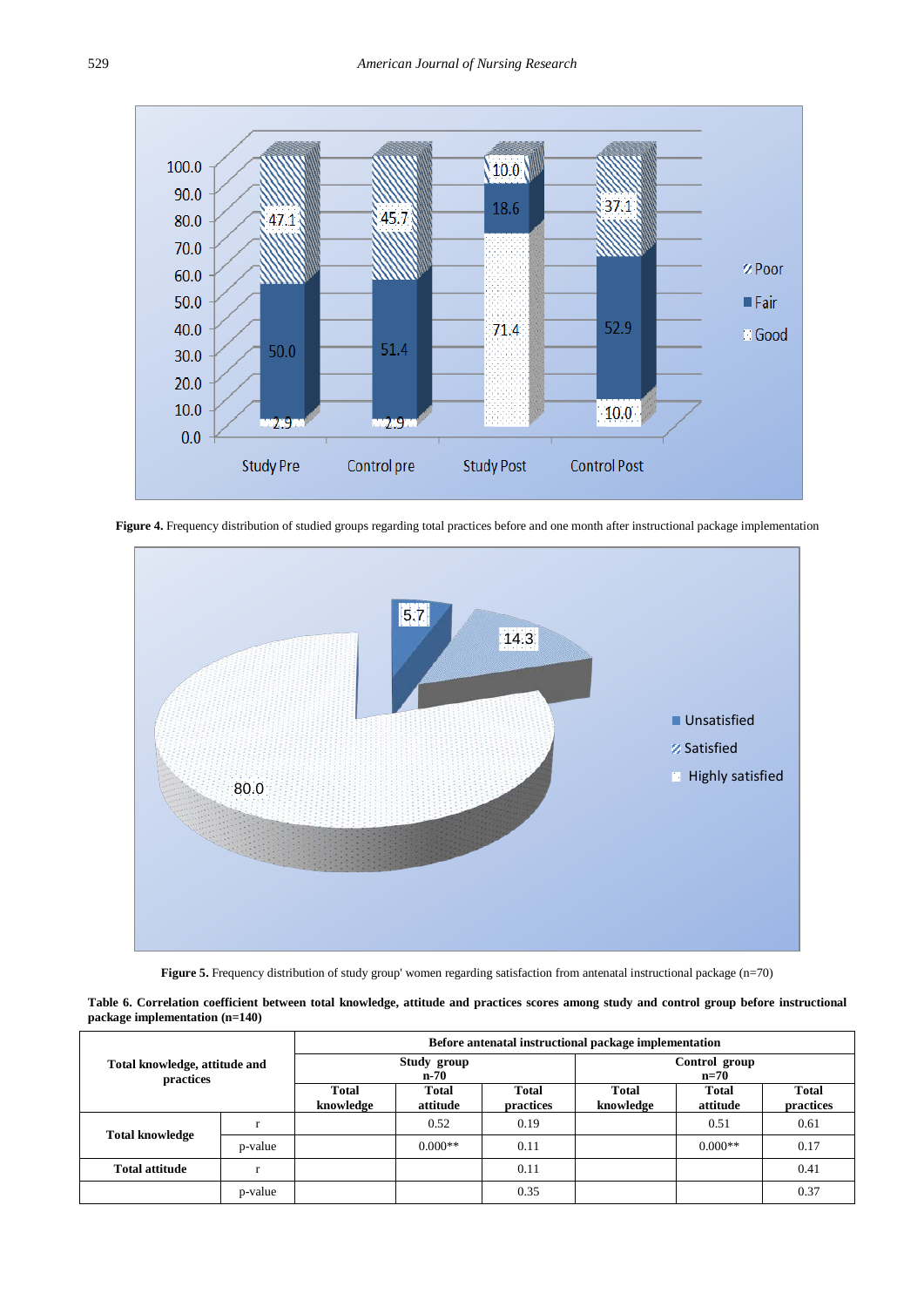

Figure 4. Frequency distribution of studied groups regarding total practices before and one month after instructional package implementation



**Figure 5.** Frequency distribution of study group' women regarding satisfaction from antenatal instructional package (n=70)

**Table 6. Correlation coefficient between total knowledge, attitude and practices scores among study and control group before instructional package implementation (n=140)**

<span id="page-10-0"></span>

|                                            |         | Before antenatal instructional package implementation |                     |                           |                         |                          |                           |  |  |  |  |
|--------------------------------------------|---------|-------------------------------------------------------|---------------------|---------------------------|-------------------------|--------------------------|---------------------------|--|--|--|--|
| Total knowledge, attitude and<br>practices |         |                                                       | Study group<br>n-70 |                           | Control group<br>$n=70$ |                          |                           |  |  |  |  |
|                                            |         | Total<br>knowledge                                    | Total<br>attitude   | <b>Total</b><br>practices | Total<br>knowledge      | <b>Total</b><br>attitude | <b>Total</b><br>practices |  |  |  |  |
| <b>Total knowledge</b>                     |         |                                                       | 0.52                | 0.19                      |                         | 0.51                     | 0.61                      |  |  |  |  |
|                                            | p-value |                                                       | $0.000**$           | 0.11                      |                         | $0.000**$                | 0.17                      |  |  |  |  |
| <b>Total attitude</b>                      |         |                                                       |                     | 0.11                      |                         |                          | 0.41                      |  |  |  |  |
|                                            | p-value |                                                       |                     | 0.35                      |                         |                          | 0.37                      |  |  |  |  |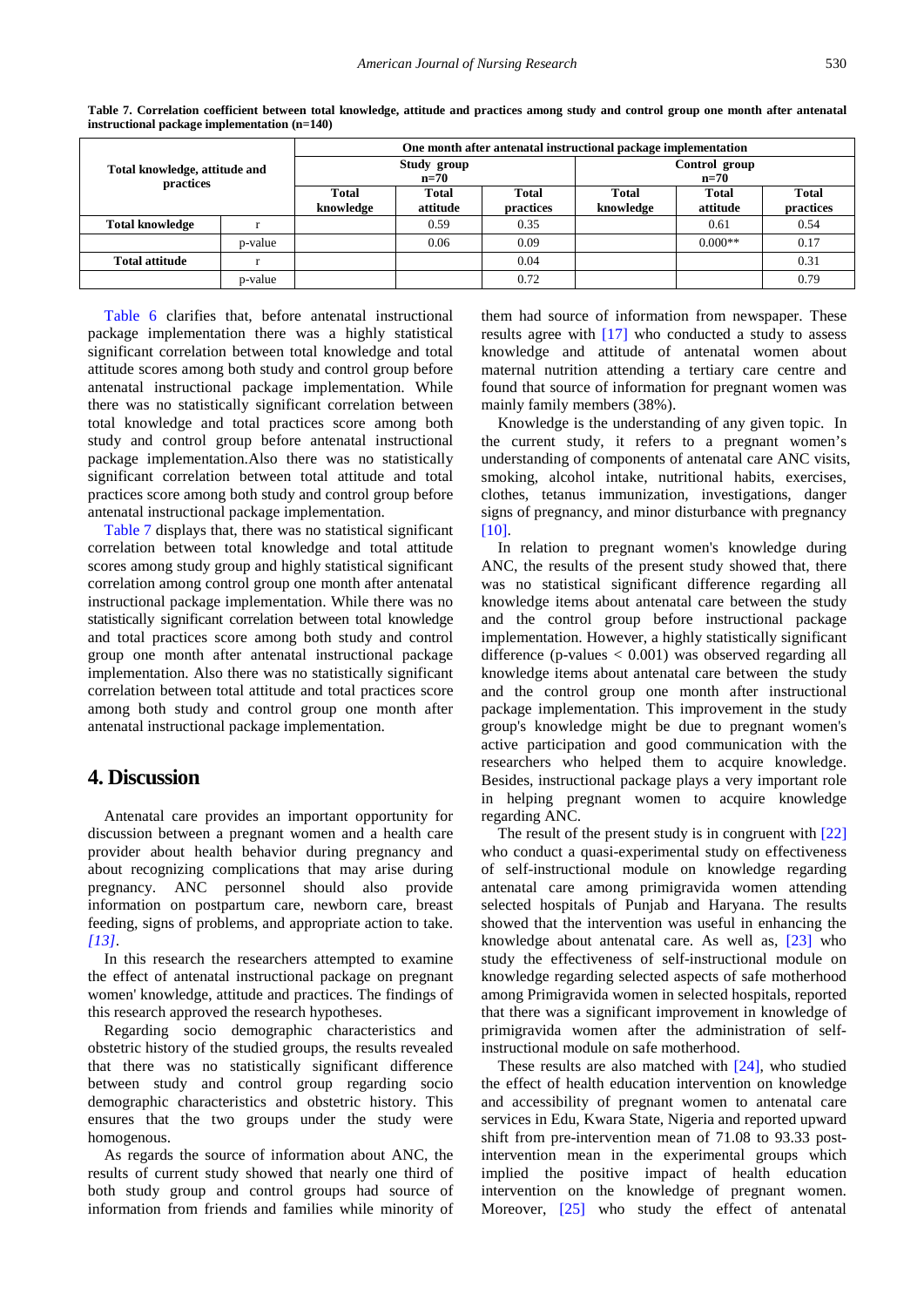<span id="page-11-0"></span>

|                                            |         | One month after antenatal instructional package implementation |                       |                           |                           |                   |                           |  |  |  |
|--------------------------------------------|---------|----------------------------------------------------------------|-----------------------|---------------------------|---------------------------|-------------------|---------------------------|--|--|--|
| Total knowledge, attitude and<br>practices |         |                                                                | Study group<br>$n=70$ |                           | Control group<br>$n=70$   |                   |                           |  |  |  |
|                                            |         | Total<br>knowledge                                             | Total<br>attitude     | <b>Total</b><br>practices | <b>Total</b><br>knowledge | Total<br>attitude | <b>Total</b><br>practices |  |  |  |
| <b>Total knowledge</b>                     |         |                                                                | 0.59                  | 0.35                      |                           | 0.61              | 0.54                      |  |  |  |
|                                            | p-value |                                                                | 0.06                  | 0.09                      |                           | $0.000**$         | 0.17                      |  |  |  |
| <b>Total attitude</b>                      |         |                                                                |                       | 0.04                      |                           |                   | 0.31                      |  |  |  |
|                                            | p-value |                                                                |                       | 0.72                      |                           |                   | 0.79                      |  |  |  |

**Table 7. Correlation coefficient between total knowledge, attitude and practices among study and control group one month after antenatal instructional package implementation (n=140)**

[Table 6](#page-10-0) clarifies that, before antenatal instructional package implementation there was a highly statistical significant correlation between total knowledge and total attitude scores among both study and control group before antenatal instructional package implementation. While there was no statistically significant correlation between total knowledge and total practices score among both study and control group before antenatal instructional package implementation.Also there was no statistically significant correlation between total attitude and total practices score among both study and control group before antenatal instructional package implementation.

[Table 7](#page-11-0) displays that, there was no statistical significant correlation between total knowledge and total attitude scores among study group and highly statistical significant correlation among control group one month after antenatal instructional package implementation. While there was no statistically significant correlation between total knowledge and total practices score among both study and control group one month after antenatal instructional package implementation. Also there was no statistically significant correlation between total attitude and total practices score among both study and control group one month after antenatal instructional package implementation.

# **4. Discussion**

Antenatal care provides an important opportunity for discussion between a pregnant women and a health care provider about health behavior during pregnancy and about recognizing complications that may arise during pregnancy. ANC personnel should also provide information on postpartum care, newborn care, breast feeding, signs of problems, and appropriate action to take. *[\[13\]](#page-14-4)*.

In this research the researchers attempted to examine the effect of antenatal instructional package on pregnant women' knowledge, attitude and practices. The findings of this research approved the research hypotheses.

Regarding socio demographic characteristics and obstetric history of the studied groups, the results revealed that there was no statistically significant difference between study and control group regarding socio demographic characteristics and obstetric history. This ensures that the two groups under the study were homogenous.

As regards the source of information about ANC, the results of current study showed that nearly one third of both study group and control groups had source of information from friends and families while minority of them had source of information from newspaper. These results agree with [\[17\]](#page-14-10) who conducted a study to assess knowledge and attitude of antenatal women about maternal nutrition attending a tertiary care centre and found that source of information for pregnant women was mainly family members (38%).

Knowledge is the understanding of any given topic. In the current study, it refers to a pregnant women's understanding of components of antenatal care ANC visits, smoking, alcohol intake, nutritional habits, exercises, clothes, tetanus immunization, investigations, danger signs of pregnancy, and minor disturbance with pregnancy [\[10\].](#page-14-1)

In relation to pregnant women's knowledge during ANC, the results of the present study showed that, there was no statistical significant difference regarding all knowledge items about antenatal care between the study and the control group before instructional package implementation. However, a highly statistically significant difference (p-values  $< 0.001$ ) was observed regarding all knowledge items about antenatal care between the study and the control group one month after instructional package implementation. This improvement in the study group's knowledge might be due to pregnant women's active participation and good communication with the researchers who helped them to acquire knowledge. Besides, instructional package plays a very important role in helping pregnant women to acquire knowledge regarding ANC.

The result of the present study is in congruent with [\[22\]](#page-14-11) who conduct a quasi-experimental study on effectiveness of self-instructional module on knowledge regarding antenatal care among primigravida women attending selected hospitals of Punjab and Haryana. The results showed that the intervention was useful in enhancing the knowledge about antenatal care. As well as, [\[23\]](#page-14-12) who study the effectiveness of self-instructional module on knowledge regarding selected aspects of safe motherhood among Primigravida women in selected hospitals, reported that there was a significant improvement in knowledge of primigravida women after the administration of selfinstructional module on safe motherhood.

These results are also matched with [\[24\],](#page-14-13) who studied the effect of health education intervention on knowledge and accessibility of pregnant women to antenatal care services in Edu, Kwara State, Nigeria and reported upward shift from pre-intervention mean of 71.08 to 93.33 postintervention mean in the experimental groups which implied the positive impact of health education intervention on the knowledge of pregnant women. Moreover, [\[25\]](#page-14-14) who study the effect of antenatal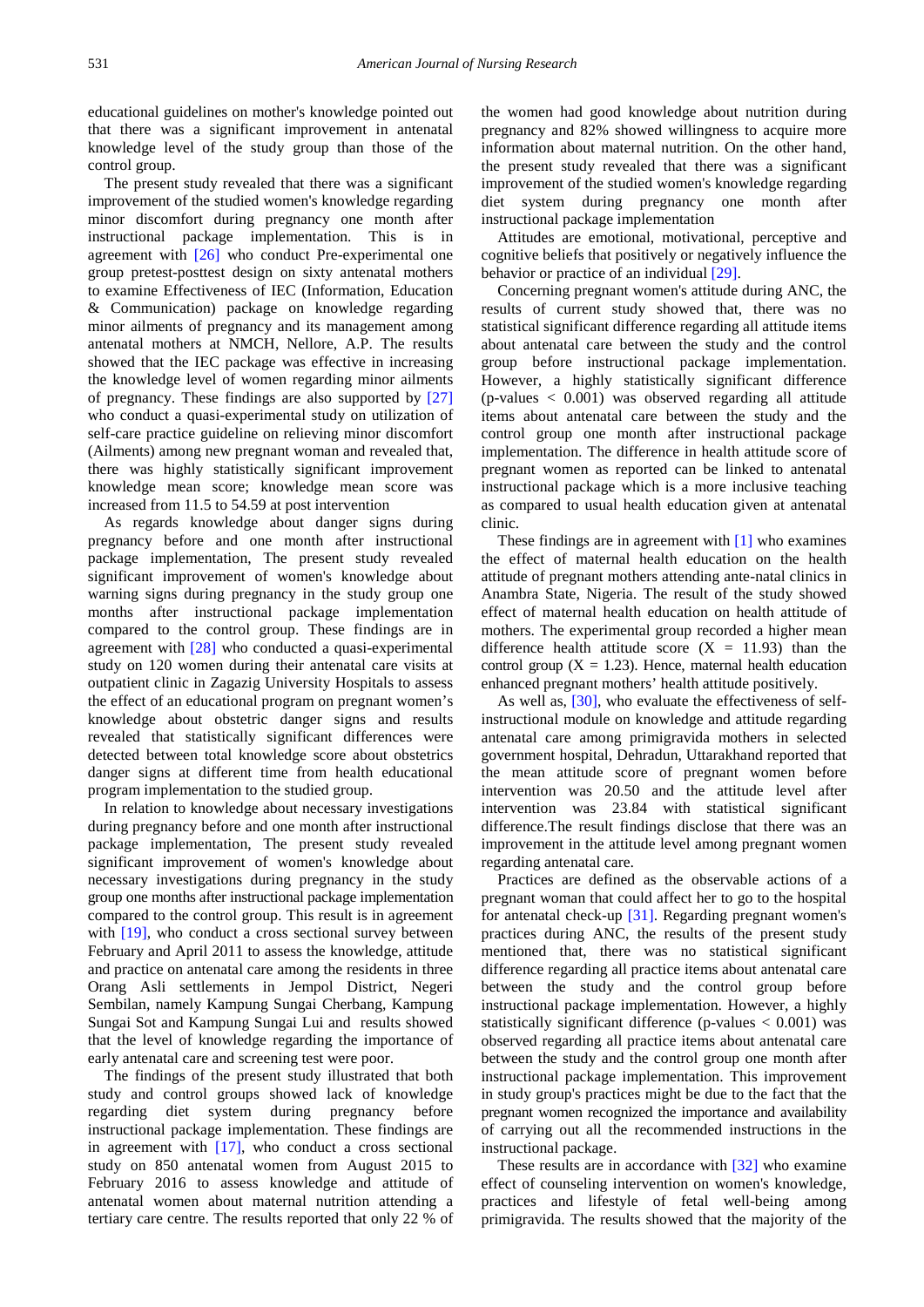educational guidelines on mother's knowledge pointed out that there was a significant improvement in antenatal knowledge level of the study group than those of the control group.

The present study revealed that there was a significant improvement of the studied women's knowledge regarding minor discomfort during pregnancy one month after instructional package implementation. This is in agreement with [\[26\]](#page-14-15) who conduct Pre-experimental one group pretest-posttest design on sixty antenatal mothers to examine Effectiveness of IEC (Information, Education & Communication) package on knowledge regarding minor ailments of pregnancy and its management among antenatal mothers at NMCH, Nellore, A.P. The results showed that the IEC package was effective in increasing the knowledge level of women regarding minor ailments of pregnancy. These findings are also supported by [\[27\]](#page-14-16) who conduct a quasi-experimental study on utilization of self-care practice guideline on relieving minor discomfort (Ailments) among new pregnant woman and revealed that, there was highly statistically significant improvement knowledge mean score; knowledge mean score was increased from 11.5 to 54.59 at post intervention

As regards knowledge about danger signs during pregnancy before and one month after instructional package implementation, The present study revealed significant improvement of women's knowledge about warning signs during pregnancy in the study group one months after instructional package implementation compared to the control group. These findings are in agreement with [\[28\]](#page-14-17) who conducted a quasi-experimental study on 120 women during their antenatal care visits at outpatient clinic in Zagazig University Hospitals to assess the effect of an educational program on pregnant women's knowledge about obstetric danger signs and results revealed that statistically significant differences were detected between total knowledge score about obstetrics danger signs at different time from health educational program implementation to the studied group.

In relation to knowledge about necessary investigations during pregnancy before and one month after instructional package implementation, The present study revealed significant improvement of women's knowledge about necessary investigations during pregnancy in the study group one months after instructional package implementation compared to the control group. This result is in agreement with [\[19\],](#page-14-8) who conduct a cross sectional survey between February and April 2011 to assess the knowledge, attitude and practice on antenatal care among the residents in three Orang Asli settlements in Jempol District, Negeri Sembilan, namely Kampung Sungai Cherbang, Kampung Sungai Sot and Kampung Sungai Lui and results showed that the level of knowledge regarding the importance of early antenatal care and screening test were poor.

The findings of the present study illustrated that both study and control groups showed lack of knowledge regarding diet system during pregnancy before instructional package implementation. These findings are in agreement with  $[17]$ , who conduct a cross sectional study on 850 antenatal women from August 2015 to February 2016 to assess knowledge and attitude of antenatal women about maternal nutrition attending a tertiary care centre. The results reported that only 22 % of

the women had good knowledge about nutrition during pregnancy and 82% showed willingness to acquire more information about maternal nutrition. On the other hand, the present study revealed that there was a significant improvement of the studied women's knowledge regarding diet system during pregnancy one month after instructional package implementation

Attitudes are emotional, motivational, perceptive and cognitive beliefs that positively or negatively influence the behavior or practice of an individual [\[29\].](#page-14-18)

Concerning pregnant women's attitude during ANC, the results of current study showed that, there was no statistical significant difference regarding all attitude items about antenatal care between the study and the control group before instructional package implementation. However, a highly statistically significant difference (p-values < 0.001) was observed regarding all attitude items about antenatal care between the study and the control group one month after instructional package implementation. The difference in health attitude score of pregnant women as reported can be linked to antenatal instructional package which is a more inclusive teaching as compared to usual health education given at antenatal clinic.

These findings are in agreement with [\[1\]](#page-13-0) who examines the effect of maternal health education on the health attitude of pregnant mothers attending ante-natal clinics in Anambra State, Nigeria. The result of the study showed effect of maternal health education on health attitude of mothers. The experimental group recorded a higher mean difference health attitude score  $(X = 11.93)$  than the control group  $(X = 1.23)$ . Hence, maternal health education enhanced pregnant mothers' health attitude positively.

As well as, [\[30\],](#page-14-19) who evaluate the effectiveness of selfinstructional module on knowledge and attitude regarding antenatal care among primigravida mothers in selected government hospital, Dehradun, Uttarakhand reported that the mean attitude score of pregnant women before intervention was 20.50 and the attitude level after intervention was 23.84 with statistical significant difference.The result findings disclose that there was an improvement in the attitude level among pregnant women regarding antenatal care.

Practices are defined as the observable actions of a pregnant woman that could affect her to go to the hospital for antenatal check-up [\[31\].](#page-14-20) Regarding pregnant women's practices during ANC, the results of the present study mentioned that, there was no statistical significant difference regarding all practice items about antenatal care between the study and the control group before instructional package implementation. However, a highly statistically significant difference (p-values  $< 0.001$ ) was observed regarding all practice items about antenatal care between the study and the control group one month after instructional package implementation. This improvement in study group's practices might be due to the fact that the pregnant women recognized the importance and availability of carrying out all the recommended instructions in the instructional package.

These results are in accordance with [\[32\]](#page-14-21) who examine effect of counseling intervention on women's knowledge, practices and lifestyle of fetal well-being among primigravida. The results showed that the majority of the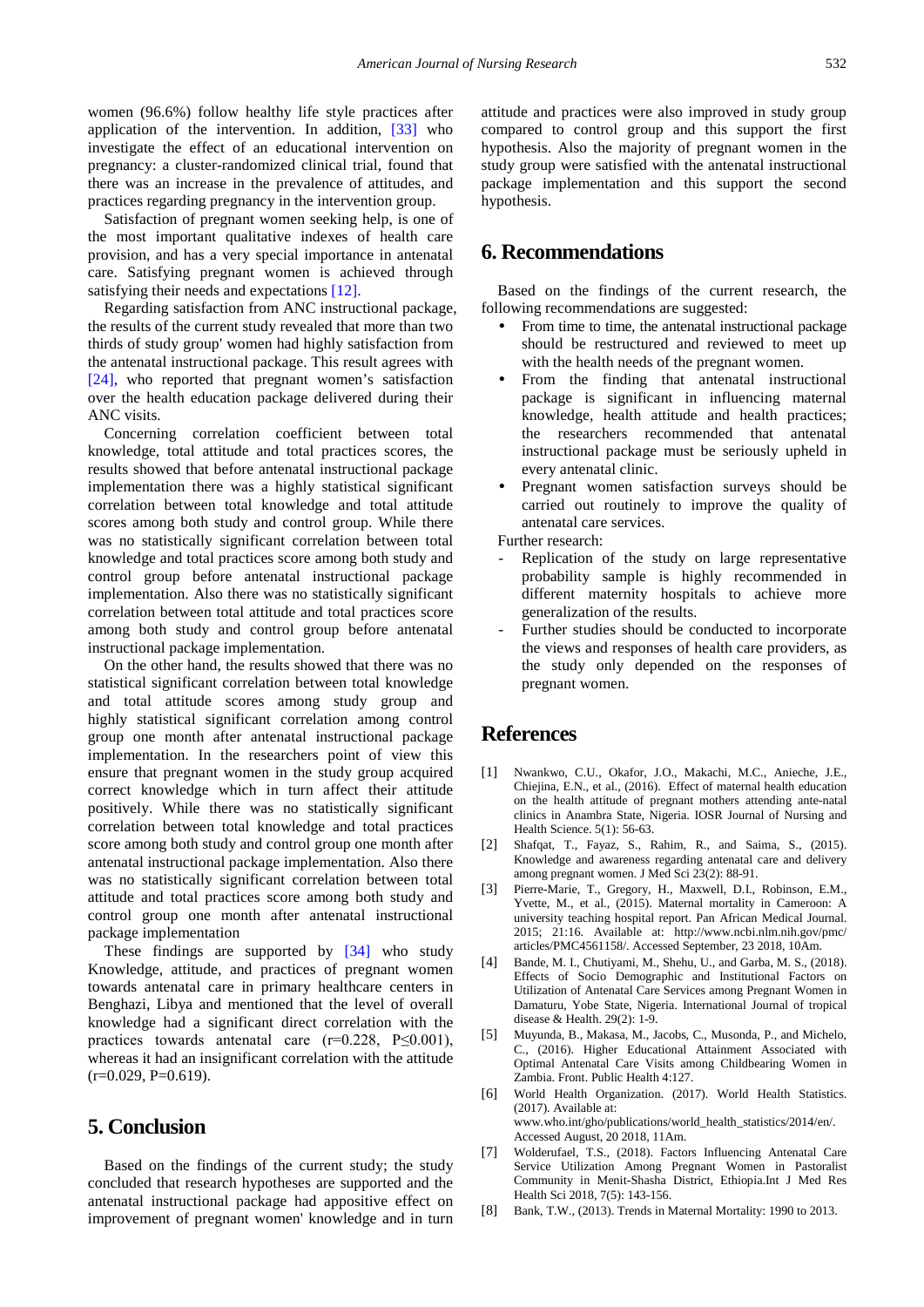women (96.6%) follow healthy life style practices after application of the intervention. In addition, [\[33\]](#page-14-22) who investigate the effect of an educational intervention on pregnancy: a cluster-randomized clinical trial, found that there was an increase in the prevalence of attitudes, and practices regarding pregnancy in the intervention group.

Satisfaction of pregnant women seeking help, is one of the most important qualitative indexes of health care provision, and has a very special importance in antenatal care. Satisfying pregnant women is achieved through satisfying their needs and expectations [\[12\].](#page-14-3)

Regarding satisfaction from ANC instructional package, the results of the current study revealed that more than two thirds of study group' women had highly satisfaction from the antenatal instructional package. This result agrees with [\[24\],](#page-14-13) who reported that pregnant women's satisfaction over the health education package delivered during their ANC visits.

Concerning correlation coefficient between total knowledge, total attitude and total practices scores, the results showed that before antenatal instructional package implementation there was a highly statistical significant correlation between total knowledge and total attitude scores among both study and control group. While there was no statistically significant correlation between total knowledge and total practices score among both study and control group before antenatal instructional package implementation. Also there was no statistically significant correlation between total attitude and total practices score among both study and control group before antenatal instructional package implementation.

On the other hand, the results showed that there was no statistical significant correlation between total knowledge and total attitude scores among study group and highly statistical significant correlation among control group one month after antenatal instructional package implementation. In the researchers point of view this ensure that pregnant women in the study group acquired correct knowledge which in turn affect their attitude positively. While there was no statistically significant correlation between total knowledge and total practices score among both study and control group one month after antenatal instructional package implementation. Also there was no statistically significant correlation between total attitude and total practices score among both study and control group one month after antenatal instructional package implementation

These findings are supported by [\[34\]](#page-14-23) who study Knowledge, attitude, and practices of pregnant women towards antenatal care in primary healthcare centers in Benghazi, Libya and mentioned that the level of overall knowledge had a significant direct correlation with the practices towards antenatal care  $(r=0.228, P\leq 0.001)$ , whereas it had an insignificant correlation with the attitude  $(r=0.029, P=0.619)$ .

# **5. Conclusion**

Based on the findings of the current study; the study concluded that research hypotheses are supported and the antenatal instructional package had appositive effect on improvement of pregnant women' knowledge and in turn attitude and practices were also improved in study group compared to control group and this support the first hypothesis. Also the majority of pregnant women in the study group were satisfied with the antenatal instructional package implementation and this support the second hypothesis.

# **6. Recommendations**

Based on the findings of the current research, the following recommendations are suggested:

- From time to time, the antenatal instructional package should be restructured and reviewed to meet up with the health needs of the pregnant women.
- From the finding that antenatal instructional package is significant in influencing maternal knowledge, health attitude and health practices; the researchers recommended that antenatal instructional package must be seriously upheld in every antenatal clinic.
- Pregnant women satisfaction surveys should be carried out routinely to improve the quality of antenatal care services.

Further research:

- Replication of the study on large representative probability sample is highly recommended in different maternity hospitals to achieve more generalization of the results.
- Further studies should be conducted to incorporate the views and responses of health care providers, as the study only depended on the responses of pregnant women.

# **References**

- <span id="page-13-0"></span>[1] Nwankwo, C.U., Okafor, J.O., Makachi, M.C., Anieche, J.E., Chiejina, E.N., et al., (2016). Effect of maternal health education on the health attitude of pregnant mothers attending ante-natal clinics in Anambra State, Nigeria. IOSR Journal of Nursing and Health Science. 5(1): 56-63.
- <span id="page-13-1"></span>[2] Shafqat, T., Fayaz, S., Rahim, R., and Saima, S., (2015). Knowledge and awareness regarding antenatal care and delivery among pregnant women. J Med Sci 23(2): 88-91.
- <span id="page-13-2"></span>[3] Pierre-Marie, T., Gregory, H., Maxwell, D.I., Robinson, E.M., Yvette, M., et al., (2015). Maternal mortality in Cameroon: A university teaching hospital report. Pan African Medical Journal. 2015; 21:16. Available at: http://www.ncbi.nlm.nih.gov/pmc/ articles/PMC4561158/. Accessed September, 23 2018, 10Am.
- <span id="page-13-3"></span>Bande, M. I., Chutiyami, M., Shehu, U., and Garba, M. S., (2018). Effects of Socio Demographic and Institutional Factors on Utilization of Antenatal Care Services among Pregnant Women in Damaturu, Yobe State, Nigeria. International Journal of tropical disease & Health. 29(2): 1-9.
- <span id="page-13-4"></span>[5] Muyunda, B., Makasa, M., Jacobs, C., Musonda, P., and Michelo, C., (2016). Higher Educational Attainment Associated with Optimal Antenatal Care Visits among Childbearing Women in Zambia. Front. Public Health 4:127.
- <span id="page-13-5"></span>[6] World Health Organization. (2017). World Health Statistics. (2017). Available at: www.who.int/gho/publications/world\_health\_statistics/2014/en/. Accessed August, 20 2018, 11Am.
- <span id="page-13-6"></span>[7] Wolderufael, T.S., (2018). Factors Influencing Antenatal Care Service Utilization Among Pregnant Women in Pastoralist Community in Menit-Shasha District, Ethiopia.Int J Med Res Health Sci 2018, 7(5): 143-156.
- <span id="page-13-7"></span>[8] Bank, T.W., (2013). Trends in Maternal Mortality: 1990 to 2013.